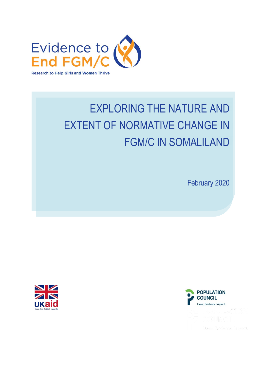

# EXPLORING THE NATURE AND EXTENT OF NORMATIVE CHANGE IN FGM/C IN SOMALILAND

February 2020



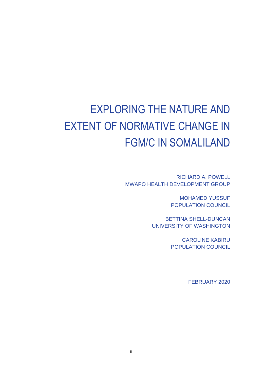# EXPLORING THE NATURE AND EXTENT OF NORMATIVE CHANGE IN FGM/C IN SOMALILAND

RICHARD A. POWELL MWAPO HEALTH DEVELOPMENT GROUP

> MOHAMED YUSSUF POPULATION COUNCIL

BETTINA SHELL-DUNCAN UNIVERSITY OF WASHINGTON

> CAROLINE KABIRU POPULATION COUNCIL

> > FEBRUARY 2020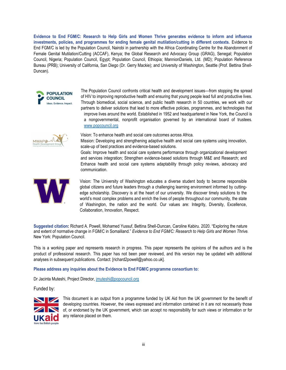**Evidence to End FGM/C: Research to Help Girls and Women Thrive generates evidence to inform and influence investments, policies, and programmes for ending female genital mutilation/cutting in different contexts.** Evidence to End FGM/C is led by the Population Council, Nairobi in partnership with the Africa Coordinating Centre for the Abandonment of Female Genital Mutilation/Cutting (ACCAF), Kenya; the Global Research and Advocacy Group (GRAG), Senegal; Population Council, Nigeria; Population Council, Egypt; Population Council, Ethiopia; MannionDaniels, Ltd. (MD); Population Reference Bureau (PRB); University of California, San Diego (Dr. Gerry Mackie); and University of Washington, Seattle (Prof. Bettina Shell-Duncan).



The Population Council confronts critical health and development issues—from stopping the spread of HIV to improving reproductive health and ensuring that young people lead full and productive lives. Through biomedical, social science, and public health research in 50 countries, we work with our partners to deliver solutions that lead to more effective policies, programmes, and technologies that improve lives around the world. Established in 1952 and headquartered in New York, the Council is a nongovernmental, nonprofit organisation governed by an international board of trustees. [www.popcouncil.org](http://www.popcouncil.org/)



Vision: To enhance health and social care outcomes across Africa.

Mission: Developing and strengthening adaptive health and social care systems using innovation, scale-up of best practices and evidence-based solutions.

Goals: Improve health and social care systems performance through organizational development and services integration; Strengthen evidence-based solutions through M&E and Research; and Enhance health and social care systems adaptability through policy reviews, advocacy and communication.



Vision: The University of Washington educates a diverse student body to become responsible global citizens and future leaders through a challenging learning environment informed by cuttingedge scholarship. Discovery is at the heart of our university. We discover timely solutions to the world's most complex problems and enrich the lives of people throughout our community, the state of Washington, the nation and the world. Our values are: Integrity, Diversity, Excellence, Collaboration, Innovation, Respect.

**Suggested citation:** Richard A. Powell, Mohamed Yussuf, Bettina Shell-Duncan, Caroline Kabiru. 2020. "Exploring the nature and extent of normative change in FGM/C in Somaliland." *Evidence to End FGM/C: Research to Help Girls and Women Thrive.*  New York: Population Council.

This is a working paper and represents research in progress. This paper represents the opinions of the authors and is the product of professional research. This paper has not been peer reviewed, and this version may be updated with additional analyses in subsequent publications. Contact: [richard2powell@yahoo.co.uk].

#### **Please address any inquiries about the Evidence to End FGM/C programme consortium to:**

Dr Jacinta Muteshi, Project Director, *jmuteshi@popcouncil.org* 

Funded by:



This document is an output from a programme funded by UK Aid from the UK government for the benefit of developing countries. However, the views expressed and information contained in it are not necessarily those of, or endorsed by the UK government, which can accept no responsibility for such views or information or for any reliance placed on them.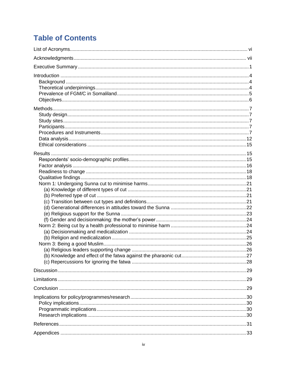# **Table of Contents**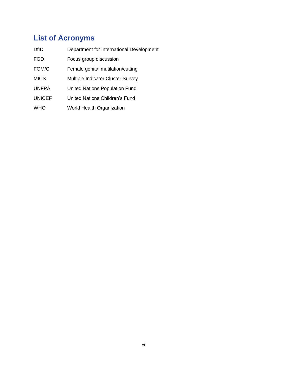# <span id="page-5-0"></span>**List of Acronyms**

| <b>DfID</b>   | Department for International Development |
|---------------|------------------------------------------|
| FGD           | Focus group discussion                   |
| FGM/C         | Female genital mutilation/cutting        |
| <b>MICS</b>   | Multiple Indicator Cluster Survey        |
| <b>UNFPA</b>  | <b>United Nations Population Fund</b>    |
| <b>UNICEF</b> | United Nations Children's Fund           |
| <b>WHO</b>    | <b>World Health Organization</b>         |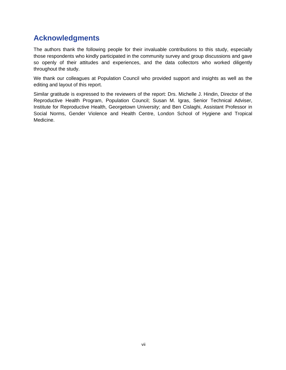# <span id="page-6-0"></span>**Acknowledgments**

The authors thank the following people for their invaluable contributions to this study, especially those respondents who kindly participated in the community survey and group discussions and gave so openly of their attitudes and experiences, and the data collectors who worked diligently throughout the study.

We thank our colleagues at Population Council who provided support and insights as well as the editing and layout of this report.

Similar gratitude is expressed to the reviewers of the report: Drs. Michelle J. Hindin, Director of the Reproductive Health Program, Population Council; Susan M. Igras, Senior Technical Adviser, Institute for Reproductive Health, Georgetown University; and Ben Cislaghi, Assistant Professor in Social Norms, Gender Violence and Health Centre, London School of Hygiene and Tropical Medicine.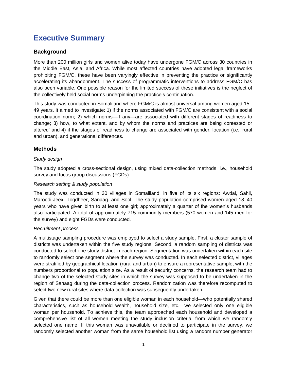# <span id="page-7-0"></span>**Executive Summary**

#### **Background**

More than 200 million girls and women alive today have undergone FGM/C across 30 countries in the Middle East, Asia, and Africa. While most affected countries have adopted legal frameworks prohibiting FGM/C, these have been varyingly effective in preventing the practice or significantly accelerating its abandonment. The success of programmatic interventions to address FGM/C has also been variable. One possible reason for the limited success of these initiatives is the neglect of the collectively held social norms underpinning the practice's continuation.

This study was conducted in Somaliland where FGM/C is almost universal among women aged 15– 49 years. It aimed to investigate: 1) if the norms associated with FGM/C are consistent with a social coordination norm; 2) which norms—if any—are associated with different stages of readiness to change; 3) how, to what extent, and by whom the norms and practices are being contested or altered' and 4) if the stages of readiness to change are associated with gender, location (i.e., rural and urban), and generational differences.

#### **Methods**

#### *Study design*

The study adopted a cross-sectional design, using mixed data-collection methods, i.e., household survey and focus group discussions (FGDs).

#### *Research setting & study population*

The study was conducted in 30 villages in Somaliland, in five of its six regions: Awdal, Sahil, Maroodi-Jeex, Togdheer, Sanaag. and Sool. The study population comprised women aged 18–40 years who have given birth to at least one girl; approximately a quarter of the women's husbands also participated. A total of approximately 715 community members (570 women and 145 men for the survey) and eight FGDs were conducted.

#### *Recruitment process*

A multistage sampling procedure was employed to select a study sample. First, a cluster sample of districts was undertaken within the five study regions. Second, a random sampling of districts was conducted to select one study district in each region. Segmentation was undertaken within each site to randomly select one segment where the survey was conducted. In each selected district, villages were stratified by geographical location (rural and urban) to ensure a representative sample, with the numbers proportional to population size. As a result of security concerns, the research team had to change two of the selected study sites in which the survey was supposed to be undertaken in the region of Sanaag during the data-collection process. Randomization was therefore recomputed to select two new rural sites where data collection was subsequently undertaken.

Given that there could be more than one eligible woman in each household—who potentially shared characteristics, such as household wealth, household size, etc.—we selected only one eligible woman per household. To achieve this, the team approached each household and developed a comprehensive list of all women meeting the study inclusion criteria, from which we randomly selected one name. If this woman was unavailable or declined to participate in the survey, we randomly selected another woman from the same household list using a random number generator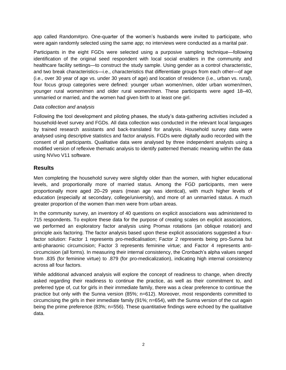app called Random#pro. One-quarter of the women's husbands were invited to participate, who were again randomly selected using the same app; no interviews were conducted as a marital pair.

Participants in the eight FGDs were selected using a purposive sampling technique—following identification of the original seed respondent with local social enablers in the community and healthcare facility settings—to construct the study sample. Using gender as a control characteristic, and two break characteristics—i.e., characteristics that differentiate groups from each other—of age (i.e., over 30 year of age vs. under 30 years of age) and location of residence (i.e., urban vs. rural), four focus group categories were defined: younger urban women/men, older urban women/men, younger rural women/men and older rural women/men. These participants were aged 18–40, unmarried or married, and the women had given birth to at least one girl.

#### *Data collection and analysis*

Following the tool development and piloting phases, the study's data-gathering activities included a household-level survey and FGDs. All data collection was conducted in the relevant local languages by trained research assistants and back-translated for analysis. Household survey data were analysed using descriptive statistics and factor analysis. FGDs were digitally audio recorded with the consent of all participants. Qualitative data were analysed by three independent analysts using a modified version of reflexive thematic analysis to identify patterned thematic meaning within the data using NVivo V11 software.

#### **Results**

Men completing the household survey were slightly older than the women, with higher educational levels, and proportionally more of married status. Among the FGD participants, men were proportionally more aged 20–29 years (mean age was identical), with much higher levels of education (especially at secondary, college/university), and more of an unmarried status. A much greater proportion of the women than men were from urban areas.

In the community survey, an inventory of 40 questions on explicit associations was administered to 715 respondents. To explore these data for the purpose of creating scales on explicit associations, we performed an exploratory factor analysis using Promax rotations (an oblique rotation) and principle axis factoring. The factor analysis based upon these explicit associations suggested a fourfactor solution: Factor 1 represents pro-medicalisation; Factor 2 represents being pro-Sunna but anti-pharaonic circumcision; Factor 3 represents feminine virtue; and Factor 4 represents anticircumcision (all forms). In measuring their internal consistency, the Cronbach's alpha values ranged from .835 (for feminine virtue) to .879 (for pro-medicalization), indicating high internal consistency across all four factors.

While additional advanced analysis will explore the concept of readiness to change, when directly asked regarding their readiness to continue the practice, as well as their commitment to, and preferred type of, cut for girls in their immediate family, there was a clear preference to continue the practice but only with the Sunna version (85%; n=612). Moreover, most respondents committed to circumcising the girls in their immediate family (91%; n=654), with the Sunna version of the cut again being the prime preference (83%; n=556). These quantitative findings were echoed by the qualitative data.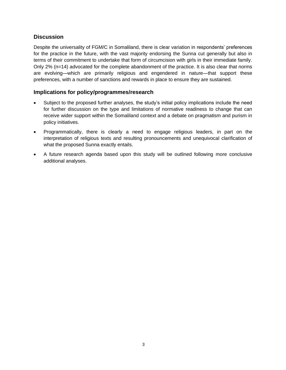#### **Discussion**

Despite the universality of FGM/C in Somaliland, there is clear variation in respondents' preferences for the practice in the future, with the vast majority endorsing the Sunna cut generally but also in terms of their commitment to undertake that form of circumcision with girls in their immediate family. Only 2% (n=14) advocated for the complete abandonment of the practice. It is also clear that norms are evolving—which are primarily religious and engendered in nature—that support these preferences, with a number of sanctions and rewards in place to ensure they are sustained.

#### **Implications for policy/programmes/research**

- Subject to the proposed further analyses, the study's initial policy implications include the need for further discussion on the type and limitations of normative readiness to change that can receive wider support within the Somaliland context and a debate on pragmatism and purism in policy initiatives.
- Programmatically, there is clearly a need to engage religious leaders, in part on the interpretation of religious texts and resulting pronouncements and unequivocal clarification of what the proposed Sunna exactly entails.
- A future research agenda based upon this study will be outlined following more conclusive additional analyses.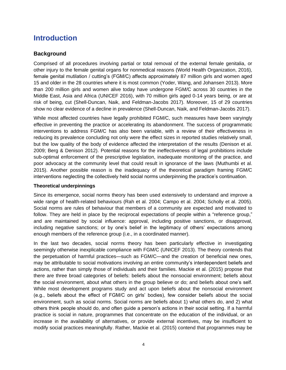# <span id="page-10-0"></span>**Introduction**

#### <span id="page-10-1"></span>**Background**

Comprised of all procedures involving partial or total removal of the external female genitalia, or other injury to the female genital organs for nonmedical reasons (World Health Organization, 2016), female genital mutilation / cutting's (FGM/C) affects approximately 87 million girls and women aged 15 and older in the 28 countries where it is most common (Yoder, Wang, and Johansen 2013). More than 200 million girls and women alive today have undergone FGM/C across 30 countries in the Middle East, Asia and Africa (UNICEF 2016), with 70 million girls aged 0-14 years being, or are at risk of being, cut (Shell-Duncan, Naik, and Feldman-Jacobs 2017). Moreover, 15 of 29 countries show no clear evidence of a decline in prevalence (Shell-Duncan, Naik, and Feldman-Jacobs 2017).

While most affected countries have legally prohibited FGM/C, such measures have been varyingly effective in preventing the practice or accelerating its abandonment. The success of programmatic interventions to address FGM/C has also been variable, with a review of their effectiveness in reducing its prevalence concluding not only were the effect sizes in reported studies relatively small, but the low quality of the body of evidence affected the interpretation of the results (Denison et al. 2009; Berg & Denison 2012). Potential reasons for the ineffectiveness of legal prohibitions include sub-optimal enforcement of the prescriptive legislation, inadequate monitoring of the practice, and poor advocacy at the community level that could result in ignorance of the laws (Muthumbi et al. 2015). Another possible reason is the inadequacy of the theoretical paradigm framing FGM/C interventions neglecting the collectively held social norms underpinning the practice's continuation.

#### <span id="page-10-2"></span>**Theoretical underpinnings**

Since its emergence, social norms theory has been used extensively to understand and improve a wide range of health-related behaviours (Rah et al. 2004; Campo et al. 2004; Scholly et al. 2005). Social norms are rules of behaviour that members of a community are expected and motivated to follow. They are held in place by the reciprocal expectations of people within a "reference group," and are maintained by social influence: approval, including positive sanctions, or disapproval, including negative sanctions; or by one's belief in the legitimacy of others' expectations among enough members of the reference group (i.e., in a coordinated manner).

In the last two decades, social norms theory has been particularly effective in investigating seemingly otherwise inexplicable compliance with FGM/C (UNICEF 2013). The theory contends that the perpetuation of harmful practices—such as FGM/C—and the creation of beneficial new ones, may be attributable to social motivations involving an entire community's interdependent beliefs and actions, rather than simply those of individuals and their families. Mackie et al. (2015) propose that there are three broad categories of beliefs: beliefs about the nonsocial environment; beliefs about the social environment, about what others in the group believe or do; and beliefs about one's self. While most development programs study and act upon beliefs about the nonsocial environment (e.g., beliefs about the effect of FGM/C on girls' bodies), few consider beliefs about the social environment, such as social norms. Social norms are beliefs about 1) what others do, and 2) what others think people should do, and often guide a person's actions in their social setting. If a harmful practice is social in nature, programmes that concentrate on the education of the individual, or an increase in the availability of alternatives, or provide external incentives, may be insufficient to modify social practices meaningfully. Rather, Mackie et al. (2015) contend that programmes may be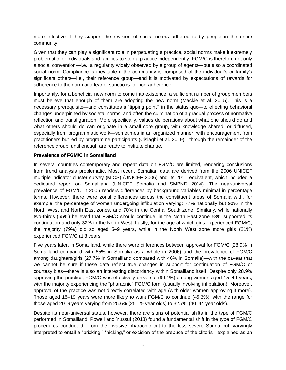more effective if they support the revision of social norms adhered to by people in the entire community.

Given that they can play a significant role in perpetuating a practice, social norms make it extremely problematic for individuals and families to stop a practice independently. FGM/C is therefore not only a social convention—i.e., a regularity widely observed by a group of agents—but also a coordinated social norm. Compliance is inevitable if the community is comprised of the individual's or family's significant others—i.e., their reference group—and it is motivated by expectations of rewards for adherence to the norm and fear of sanctions for non-adherence.

Importantly, for a beneficial new norm to come into existence, a sufficient number of group members must believe that enough of them are adopting the new norm (Mackie et al. 2015). This is a necessary prerequisite—and constitutes a "tipping point'" in the status quo—to effecting behavioral changes underpinned by societal norms, and often the culmination of a gradual process of normative reflection and transfiguration. More specifically, values deliberations about what one should do and what others should do can originate in a small core group, with knowledge shared, or diffused, especially from programmatic work—sometimes in an organized manner, with encouragement from practitioners but led by programme participants (Cislaghi et al. 2019)—through the remainder of the reference group, until enough are ready to institute change.

#### <span id="page-11-0"></span>**Prevalence of FGM/C in Somaliland**

In several countries contemporary and repeat data on FGM/C are limited, rendering conclusions from trend analysis problematic. Most recent Somalian data are derived from the 2006 UNICEF multiple indicator cluster survey (MICS) (UNICEF 2006) and its 2011 equivalent, which included a dedicated report on Somaliland (UNICEF Somalia and SMPND 2014). The near-universal prevalence of FGM/C in 2006 renders differences by background variables minimal in percentage terms. However, there were zonal differences across the constituent areas of Somalia with, for example, the percentage of women undergoing infibulation varying: 77% nationally but 90% in the North West and North East zones, and 70% in the Central South zone. Similarly, while nationally two-thirds (65%) believed that FGM/C should continue, in the North East zone 53% supported its continuation and only 32% in the North West. Lastly, for the age at which girls experienced FGM/C, the majority (79%) did so aged 5–9 years, while in the North West zone more girls (21%) experienced FGM/C at 8 years.

Five years later, in Somaliland, while there were differences between approval for FGM/C (28.9% in Somaliland compared with 65% in Somalia as a whole in 2006) and the prevalence of FGM/C among daughters/girls (27.7% in Somaliland compared with 46% in Somalia)—with the caveat that we cannot be sure if these data reflect true changes in support for continuation of FGM/C or courtesy bias—there is also an interesting discordancy within Somaliland itself. Despite only 28.9% approving the practice, FGM/C was effectively universal (99.1%) among women aged 15–49 years, with the majority experiencing the "pharaonic" FGM/C form (usually involving infibulation). Moreover, approval of the practice was not directly correlated with age (with older women approving it more). Those aged 15–19 years were more likely to want FGM/C to continue (45.3%), with the range for those aged 20–9 years varying from 25.6% (25–29 year olds) to 32.7% (40–44 year olds).

Despite its near-universal status, however, there are signs of potential shifts in the type of FGM/C performed in Somaliland. Powell and Yussuf (2018) found a fundamental shift in the type of FGM/C procedures conducted—from the invasive pharaonic cut to the less severe Sunna cut, varyingly interpreted to entail a "pricking," "nicking," or excision of the prepuce of the clitoris—explained as an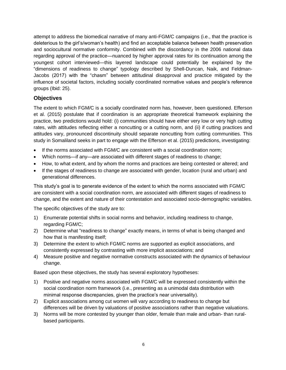attempt to address the biomedical narrative of many anti-FGM/C campaigns (i.e., that the practice is deleterious to the girl's/woman's health) and find an acceptable balance between health preservation and sociocultural normative conformity. Combined with the discordancy in the 2006 national data regarding approval of the practice—nuanced by higher approval rates for its continuation among the youngest cohort interviewed—this layered landscape could potentially be explained by the "dimensions of readiness to change" typology described by Shell-Duncan, Naik, and Feldman-Jacobs (2017) with the "chasm" between attitudinal disapproval and practice mitigated by the influence of societal factors, including socially coordinated normative values and people's reference groups (Ibid: 25).

#### <span id="page-12-0"></span>**Objectives**

The extent to which FGM/C is a socially coordinated norm has, however, been questioned. Efferson et al. (2015) postulate that if coordination is an appropriate theoretical framework explaining the practice, two predictions would hold: (i) communities should have either very low or very high cutting rates, with attitudes reflecting either a noncutting or a cutting norm, and (ii) if cutting practices and attitudes vary, pronounced discontinuity should separate noncutting from cutting communities. This study in Somaliland seeks in part to engage with the Efferson et al. (2015) predictions, investigating:

- If the norms associated with FGM/C are consistent with a social coordination norm;
- Which norms—if any—are associated with different stages of readiness to change;
- How, to what extent, and by whom the norms and practices are being contested or altered; and
- If the stages of readiness to change are associated with gender, location (rural and urban) and generational differences.

This study's goal is to generate evidence of the extent to which the norms associated with FGM/C are consistent with a social coordination norm, are associated with different stages of readiness to change, and the extent and nature of their contestation and associated socio-demographic variables.

The specific objectives of the study are to:

- 1) Enumerate potential shifts in social norms and behavior, including readiness to change, regarding FGM/C;
- 2) Determine what "readiness to change" exactly means, in terms of what is being changed and how that is manifesting itself;
- 3) Determine the extent to which FGM/C norms are supported as explicit associations, and consistently expressed by contrasting with more implicit associations; and
- 4) Measure positive and negative normative constructs associated with the dynamics of behaviour change.

Based upon these objectives, the study has several exploratory hypotheses:

- 1) Positive and negative norms associated with FGM/C will be expressed consistently within the social coordination norm framework (i.e., presenting as a unimodal data distribution with minimal response discrepancies, given the practice's near universality).
- 2) Explicit associations among cut women will vary according to readiness to change but differences will be driven by valuations of positive associations rather than negative valuations.
- 3) Norms will be more contested by younger than older, female than male and urban- than ruralbased participants.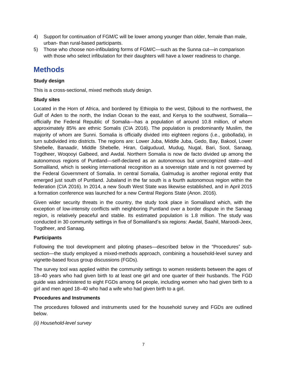- 4) Support for continuation of FGM/C will be lower among younger than older, female than male, urban- than rural-based participants.
- 5) Those who choose non-infibulating forms of FGM/C—such as the Sunna cut—in comparison with those who select infibulation for their daughters will have a lower readiness to change.

# <span id="page-13-0"></span>**Methods**

#### <span id="page-13-1"></span>**Study design**

This is a cross-sectional, mixed methods study design.

#### <span id="page-13-2"></span>**Study sites**

Located in the Horn of Africa, and bordered by Ethiopia to the west, Djibouti to the northwest, the Gulf of Aden to the north, the Indian Ocean to the east, and Kenya to the southwest, Somalia officially the Federal Republic of Somalia—has a population of around 10.8 million, of whom approximately 85% are ethnic Somalis (CIA 2016). The population is predominantly Muslim, the majority of whom are Sunni. Somalia is officially divided into eighteen regions (i.e., gobollada), in turn subdivided into districts. The regions are: Lower Juba, Middle Juba, Gedo, Bay, Bakool, Lower Shebelle, Banaadir, Middle Shebelle, Hiran, Galguduud, Mudug, Nugal, Bari, Sool, Sanaag, Togdheer, Woqooyi Galbeed, and Awdal. Northern Somalia is now de facto divided up among the autonomous regions of Puntland—self-declared as an autonomous but unrecognized state—and Somaliland, which is seeking international recognition as a sovereign state and is not governed by the Federal Government of Somalia. In central Somalia, Galmudug is another regional entity that emerged just south of Puntland. Jubaland in the far south is a fourth autonomous region within the federation (CIA 2016). In 2014, a new South West State was likewise established, and in April 2015 a formation conference was launched for a new Central Regions State (Anon. 2016).

Given wider security threats in the country, the study took place in Somaliland which, with the exception of low-intensity conflicts with neighboring Puntland over a border dispute in the Sanaag region, is relatively peaceful and stable. Its estimated population is 1.8 million. The study was conducted in 30 community settings in five of Somaliland's six regions: Awdal, Saahil, Maroodi-Jeex, Togdheer, and Sanaag.

#### <span id="page-13-3"></span>**Participants**

Following the tool development and piloting phases—described below in the "Procedures" subsection—the study employed a mixed-methods approach, combining a household-level survey and vignette-based focus group discussions (FGDs).

The survey tool was applied within the community settings to women residents between the ages of 18–40 years who had given birth to at least one girl and one quarter of their husbands. The FGD guide was administered to eight FGDs among 64 people, including women who had given birth to a girl and men aged 18–40 who had a wife who had given birth to a girl.

#### <span id="page-13-4"></span>**Procedures and Instruments**

The procedures followed and instruments used for the household survey and FGDs are outlined below.

*(ii) Household-level survey*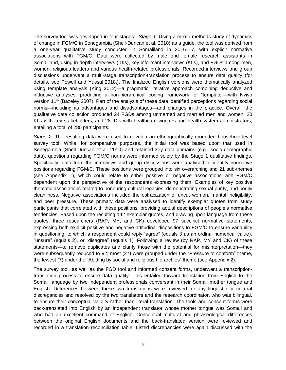The survey tool was developed in four stages: *Stage 1:* Using a mixed-methods study of dynamics of change in FGM/C in Senegambia (Shell-Duncan et al. 2010) as a guide, the tool was derived from a one-year qualitative study conducted in Somaliland in 2016–17, with explicit normative associations with FGM/C. Data were collected by male and female research assistants in Somaliland, using in-depth interviews (IDIs), key informant interviews (KIIs), and FGDs among men, women, religious leaders and various health-related professionals. Recorded interviews and group discussions underwent a multi-stage transcription-translation process to ensure data quality (for details, see Powell and Yussuf,2018,). The finalized English versions were thematically analyzed using template analysis (King 2012)—a pragmatic, iterative approach combining deductive and inductive analyses, producing a non-hierarchical coding framework, or "template"—with Nvivo version 11® (Bazeley 2007). Part of the analysis of these data identified perceptions regarding social norms—including its advantages and disadvantages—and changes in the practice. Overall, the qualitative data collection produced 24 FGDs among unmarried and married men and women, 20 KIIs with key stakeholders, and 28 IDIs with healthcare workers and health-system administrators, entailing a total of 280 participants.

*Stage 2:* The resulting data were used to develop an ethnographically grounded household-level survey tool. While, for comparative purposes, the initial tool was based upon that used in Senegambia (Shell-Duncan et al. 2010) and retained key data domains (e.g., socio-demographic data), questions regarding FGM/C norms were informed solely by the Stage 1 qualitative findings. Specifically, data from the interviews and group discussions were analysed to identify normative positions regarding FGM/C. These positions were grouped into six overarching and 21 sub-themes (see Appendix 1), which could relate to either positive or negative associations with FGM/C dependent upon the perspective of the respondents expressing them. Examples of key positive thematic associations related to honouring cultural legacies, demonstrating sexual purity, and bodily cleanliness. Negative associations included the ostracization of uncut women, marital ineligibility, and peer pressure. These primary data were analysed to identify exemplar quotes from study participants that correlated with these positions, providing actual descriptions of people's normative tendencies. Based upon the resulting 142 exemplar quotes, and drawing upon language from these quotes, three researchers (RAP, MY, and CK) developed 97 succinct normative statements, expressing both explicit positive and negative attitudinal dispositions to FGM/C to ensure variability in questioning, to which a respondent could reply "agree" (equals 3 as an ordinal numerical value), "unsure" (equals 2), or "disagree" (equals 1). Following a review (by RAP, MY and CK) of these statements—to remove duplicates and clarify those with the potential for misinterpretation—they were subsequently reduced to 92; most (27) were grouped under the "Pressure to conform" theme, the fewest (7) under the "Abiding by social and religious hierarchies" theme (see Appendix 2).

The survey tool, as well as the FGD tool and informed consent forms, underwent a transcriptiontranslation process to ensure data quality. This entailed forward translation from English to the Somali language by two independent professionals conversant in their Somali mother tongue and English. Differences between these two translations were reviewed for any linguistic or cultural discrepancies and resolved by the two translators and the research coordinator, who was bilingual, to ensure their conceptual validity rather than literal translation. The tools and consent forms were back-translated into English by an independent translator whose mother tongue was Somali and who had an excellent command of English. Conceptual, cultural and phraseological differences between the original English documents and the back-translated version were reviewed and recorded in a translation reconciliation table. Listed discrepancies were again discussed with the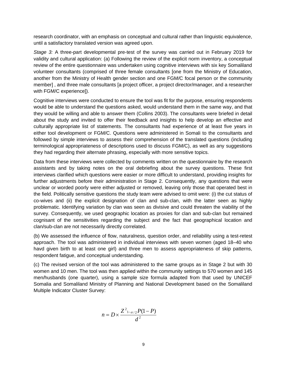research coordinator, with an emphasis on conceptual and cultural rather than linguistic equivalence, until a satisfactory translated version was agreed upon.

*Stage 3:* A three-part developmental pre-test of the survey was carried out in February 2019 for validity and cultural application: (a) Following the review of the explicit norm inventory, a conceptual review of the entire questionnaire was undertaken using cognitive interviews with six key Somaliland volunteer consultants (comprised of three female consultants [one from the Ministry of Education, another from the Ministry of Health gender section and one FGM/C focal person or the community member] , and three male consultants [a project officer, a project director/manager, and a researcher with FGM/C experience]).

Cognitive interviews were conducted to ensure the tool was fit for the purpose, ensuring respondents would be able to understand the questions asked, would understand them in the same way, and that they would be willing and able to answer them (Collins 2003). The consultants were briefed in detail about the study and invited to offer their feedback and insights to help develop an effective and culturally appropriate list of statements. The consultants had experience of at least five years in either tool development or FGM/C. Questions were administered in Somali to the consultants and followed by simple interviews to assess their comprehension of the translated questions (including terminological appropriateness of descriptions used to discuss FGM/C), as well as any suggestions they had regarding their alternate phrasing, especially with more sensitive topics.

Data from these interviews were collected by comments written on the questionnaire by the research assistants and by taking notes on the oral debriefing about the survey questions. These first interviews clarified which questions were easier or more difficult to understand, providing insights for further adjustments before their administration in Stage 2. Consequently, any questions that were unclear or worded poorly were either adjusted or removed, leaving only those that operated best in the field. Politically sensitive questions the study team were advised to omit were: (i) the cut status of co-wives and (ii) the explicit designation of clan and sub-clan, with the latter seen as highly problematic. Identifying variation by clan was seen as divisive and could threaten the viability of the survey. Consequently, we used geographic location as proxies for clan and sub-clan but remained cognisant of the sensitivities regarding the subject and the fact that geographical location and clan/sub-clan are not necessarily directly correlated.

(b) We assessed the influence of flow, naturalness, question order, and reliability using a test-retest approach. The tool was administered in individual interviews with seven women (aged 18–40 who havd given birth to at least one girl) and three men to assess appropriateness of skip patterns, respondent fatigue, and conceptual understanding.

(c) The revised version of the tool was administered to the same groups as in Stage 2 but with 30 women and 10 men. The tool was then applied within the community settings to 570 women and 145 men/husbands (one quarter), using a sample size formula adapted from that used by UNICEF Somalia and Somaliland Ministry of Planning and National Development based on the Somaliland Multiple Indicator Cluster Survey:

$$
n=D\times\frac{Z^2_{1-\alpha/2}P(1-P)}{d^2}
$$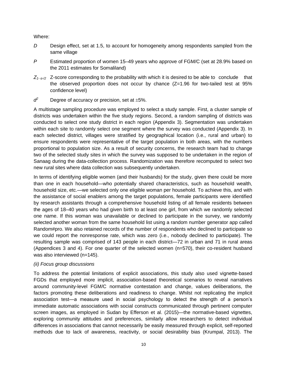Where:

- *D* Design effect, set at 1.5, to account for homogeneity among respondents sampled from the same village
- *P* Estimated proportion of women 15–49 years who approve of FGM/C (set at 28.9% based on the 2011 estimates for Somaliland)
- *Z1- α-/2* Z-score corresponding to the probability with which it is desired to be able to conclude that the observed proportion does not occur by chance (Z=1.96 for two-tailed test at 95% confidence level)
- *d* Degree of accuracy or precision, set at  $\pm 5\%$ .

A multistage sampling procedure was employed to select a study sample. First, a cluster sample of districts was undertaken within the five study regions. Second, a random sampling of districts was conducted to select one study district in each region (Appendix 3). Segmentation was undertaken within each site to randomly select one segment where the survey was conducted (Appendix 3). In each selected district, villages were stratified by geographical location (i.e., rural and urban) to ensure respondents were representative of the target population in both areas, with the numbers proportional to population size. As a result of security concerns, the research team had to change two of the selected study sites in which the survey was supposed to be undertaken in the region of Sanaag during the data-collection process. Randomization was therefore recomputed to select two new rural sites where data collection was subsequently undertaken.

In terms of identifying eligible women (and their husbands) for the study, given there could be more than one in each household—who potentially shared characteristics, such as household wealth, household size, etc.—we selected only one eligible woman per household. To achieve this, and with the assistance of social enablers among the target populations, female participants were identified by research assistants through a comprehensive household listing of all female residents between the ages of 18–40 years who had given birth to at least one girl, from which we randomly selected one name. If this woman was unavailable or declined to participate in the survey, we randomly selected another woman from the same household list using a random number generator app called Random#pro. We also retained records of the number of respondents who declined to participate so we could report the nonresponse rate, which was zero (i.e., nobody declined to participate). The resulting sample was comprised of 143 people in each district—72 in urban and 71 in rural areas (Appendices 3 and 4). For one quarter of the selected women (n=570), their co-resident husband was also interviewed (n=145).

#### *(ii) Focus group discussions*

To address the potential limitations of explicit associations, this study also used vignette-based FGDs that employed more implicit, association-based theoretical scenarios to reveal narratives around community-level FGM/C normative contestation and change, values deliberations, the factors promoting these deliberations and readiness to change. Whilst not replicating the implicit association test—a measure used in social psychology to detect the strength of a person's immediate automatic associations with social constructs communicated through pertinent computer screen images, as employed in Sudan by Efferson et al. (2015)—the normative-based vignettes, exploring community attitudes and preferences, similarly allow researchers to detect individual differences in associations that cannot necessarily be easily measured through explicit, self-reported methods due to lack of awareness, reactivity, or social desirability bias (Krumpal, 2013). The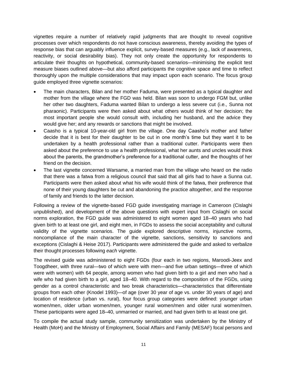vignettes require a number of relatively rapid judgments that are thought to reveal cognitive processes over which respondents do not have conscious awareness, thereby avoiding the types of response bias that can arguably influence explicit, survey-based measures (e.g., lack of awareness, reactivity, or social desirability bias). They not only create the opportunity for respondents to articulate their thoughts on hypothetical, community-based scenarios—minimising the explicit test measure biases outlined above—but also afford participants the cognitive space and time to reflect thoroughly upon the multiple considerations that may impact upon each scenario. The focus group guide employed three vignette scenarios:

- The main characters, Bilan and her mother Faduma, were presented as a typical daughter and mother from the village where the FGD was held. Bilan was soon to undergo FGM but, unlike her other two daughters, Faduma wanted Bilan to undergo a less severe cut (i.e., Sunna not pharaonic). Participants were then asked about what others would think of her decision; the most important people she would consult with, including her husband, and the advice they would give her; and any rewards or sanctions that might be involved.
- Caasho is a typical 10-year-old girl from the village. One day Caasho's mother and father decide that it is best for their daughter to be cut in one month's time but they want it to be undertaken by a health professional rather than a traditional cutter. Participants were then asked about the preference to use a health professional, what her aunts and uncles would think about the parents, the grandmother's preference for a traditional cutter, and the thoughts of her friend on the decision.
- The last vignette concerned Warsame, a married man from the village who heard on the radio that there was a fatwa from a religious council that said that all girls had to have a Sunna cut. Participants were then asked about what his wife would think of the fatwa, their preference that none of their young daughters be cut and abandoning the practice altogether, and the response of family and friends to the latter decision.

Following a review of the vignette-based FGD guide investigating marriage in Cameroon (Cislaghi unpublished), and development of the above questions with expert input from Cislaghi on social norms exploration, the FGD guide was administered to eight women aged 18–40 years who had given birth to at least one girl, and eight men, in FGDs to assess the social acceptability and cultural validity of the vignette scenarios. The guide explored descriptive norms, injunctive norms, noncompliance of the main character of the vignette, sanctions, sensitivity to sanctions and exceptions (Cislaghi & Heise 2017). Participants were administered the guide and asked to verbalize their thought processes following *each* vignette.

The revised guide was administered to eight FGDs (four each in two regions, Maroodi-Jeex and Toogdheer, with three rural—two of which were with men—and five urban settings—three of which were with women) with 64 people, among women who had given birth to a girl and men who had a wife who had given birth to a girl, aged 18–40. With regard to the composition of the FGDs, using gender as a control characteristic and two break characteristics—characteristics that differentiate groups from each other (Knodel 1993)—of age (over 30 year of age vs. under 30 years of age) and location of residence (urban vs. rural), four focus group categories were defined: younger urban women/men, older urban women/men, younger rural women/men and older rural women/men. These participants were aged 18–40, unmarried or married, and had given birth to at least one girl.

To compile the actual study sample, community sensitization was undertaken by the Ministry of Health (MoH) and the Ministry of Employment, Social Affairs and Family (MESAF) focal persons and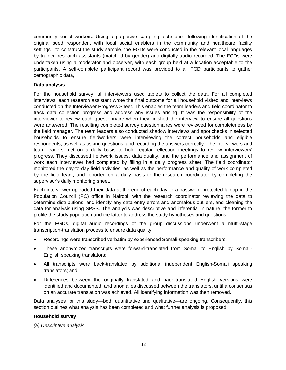community social workers. Using a purposive sampling technique—following identification of the original seed respondent with local social enablers in the community and healthcare facility settings—to construct the study sample, the FGDs were conducted in the relevant local languages by trained research assistants (matched by gender) and digitally audio recorded. The FGDs were undertaken using a moderator and observer, with each group held at a location acceptable to the participants. A self-complete participant record was provided to all FGD participants to gather demographic data,.

#### <span id="page-18-0"></span>**Data analysis**

For the household survey, all interviewers used tablets to collect the data. For all completed interviews, each research assistant wrote the final outcome for all household visited and interviews conducted on the Interviewer Progress Sheet. This enabled the team leaders and field coordinator to track data collection progress and address any issues arising. It was the responsibility of the interviewer to review each questionnaire when they finished the interview to ensure all questions were answered. The resulting completed survey questionnaires were reviewed for completeness by the field manager. The team leaders also conducted shadow interviews and spot checks in selected households to ensure fieldworkers were interviewing the correct households and eligible respondents, as well as asking questions, and recording the answers correctly. The interviewers and team leaders met on a daily basis to hold regular reflection meetings to review interviewers' progress. They discussed fieldwork issues, data quality, and the performance and assignment of work each interviewer had completed by filling in a daily progress sheet. The field coordinator monitored the day-to-day field activities, as well as the performance and quality of work completed by the field team, and reported on a daily basis to the research coordinator by completing the supervisor's daily monitoring sheet.

Each interviewer uploaded their data at the end of each day to a password-protected laptop in the Population Council (PC) office in Nairobi, with the research coordinator reviewing the data to determine distributions, and identify any data entry errors and anomalous outliers, and cleaning the data for analysis using SPSS. The analysis was descriptive and inferential in nature, the former to profile the study population and the latter to address the study hypotheses and questions.

For the FGDs, digital audio recordings of the group discussions underwent a multi-stage transcription-translation process to ensure data quality:

- Recordings were transcribed verbatim by experienced Somali-speaking transcribers;
- These anonymized transcripts were forward-translated from Somali to English by Somali-English speaking translators;
- All transcripts were back-translated by additional independent English-Somali speaking translators; and
- Differences between the originally translated and back-translated English versions were identified and documented, and anomalies discussed between the translators, until a consensus on an accurate translation was achieved. All identifying information was then removed.

Data analyses for this study—both quantitative and qualitative—are ongoing. Consequently, this section outlines what analysis has been completed and what further analysis is proposed.

#### **Household survey**

*(a) Descriptive analysis*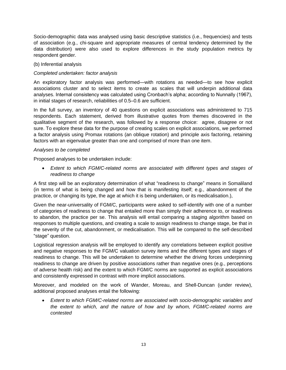Socio-demographic data was analysed using basic descriptive statistics (i.e., frequencies) and tests of association (e.g., chi-square and appropriate measures of central tendency determined by the data distribution) were also used to explore differences in the study population metrics by respondent gender.

#### (b) Inferential analysis

#### *Completed undertaken: factor analysis*

An exploratory factor analysis was performed—with rotations as needed—to see how explicit associations cluster and to select items to create as scales that will underpin additional data analyses. Internal consistency was calculated using Cronbach's alpha; according to Nunnally (1967), in initial stages of research, reliabilities of 0.5–0.6 are sufficient.

In the full survey, an inventory of 40 questions on explicit associations was administered to 715 respondents. Each statement, derived from illustrative quotes from themes discovered in the qualitative segment of the research, was followed by a response choice: agree, disagree or not sure. To explore these data for the purpose of creating scales on explicit associations, we performed a factor analysis using Promax rotations (an oblique rotation) and principle axis factoring, retaining factors with an eigenvalue greater than one and comprised of more than one item.

#### *Analyses to be completed*

Proposed analyses to be undertaken include:

• *Extent to which FGM/C-related norms are associated with different types and stages of readiness to change*

A first step will be an exploratory determination of what "readiness to change" means in Somaliland (in terms of what is being changed and how that is manifesting itself; e.g., abandonment of the practice, or changing its type, the age at which it is being undertaken, or its medicalisation.),

Given the near-universality of FGM/C, participants were asked to self-identify with one of a number of categories of readiness to change that entailed more than simply their adherence to, or readiness to abandon, the practice per se. This analysis will entail comparing a staging algorithm based on responses to multiple questions, and creating a scale to assign readiness to change stage, be that in the severity of the cut, abandonment, or medicalisation. This will be compared to the self-described "stage" question.

Logistical regression analysis will be employed to identify any correlations between explicit positive and negative responses to the FGM/C valuation survey items and the different types and stages of readiness to change. This will be undertaken to determine whether the driving forces underpinning readiness to change are driven by positive associations rather than negative ones (e.g., perceptions of adverse health risk) and the extent to which FGM/C norms are supported as explicit associations and consistently expressed in contrast with more implicit associations.

Moreover, and modeled on the work of Wander, Moreau, and Shell-Duncan (under review), additional proposed analyses entail the following:

• *Extent to which FGM/C-related norms are associated with socio-demographic variables and the extent to which, and the nature of how and by whom, FGM/C-related norms are contested*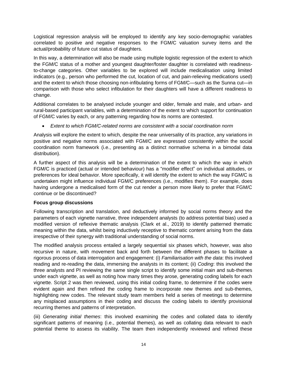Logistical regression analysis will be employed to identify any key socio-demographic variables correlated to positive and negative responses to the FGM/C valuation survey items and the actual/probability of future cut status of daughters.

In this way, a determination will also be made using multiple logistic regression of the extent to which the FGM/C status of a mother and youngest daughter/foster daughter is correlated with readinessto-change categories. Other variables to be explored will include medicalisation using limited indicators (e.g., person who performed the cut, location of cut, and pain-relieving medications used) and the extent to which those choosing non-infibulating forms of FGM/C—such as the Sunna cut—in comparison with those who select infibulation for their daughters will have a different readiness to change.

Additional correlates to be analysed include younger and older, female and male, and urban- and rural-based participant variables, with a determination of the extent to which support for continuation of FGM/C varies by each, or any patterning regarding how its norms are contested.

• *Extent to which FGM/C-related norms are consistent with a social coordination norm*

Analysis will explore the extent to which, despite the near universality of its practice, any variations in positive and negative norms associated with FGM/C are expressed consistently within the social coordination norm framework (i.e., presenting as a distinct normative schema in a bimodal data distribution).

A further aspect of this analysis will be a determination of the extent to which the way in which FGM/C is practiced (actual or intended behaviour) has a "modifier effect" on individual attitudes, or preferences for ideal behavior. More specifically, it will identify the extent to which the way FGM/C is undertaken might influence individual FGM/C preferences (i.e., modifies them). For example, does having undergone a medicalised form of the cut render a person more likely to prefer that FGM/C continue or be discontinued?

#### **Focus group discussions**

Following transcription and translation, and deductively informed by social norms theory and the parameters of each vignette narrative, three independent analysts (to address potential bias) used a modified version of reflexive thematic analysis (Clark et al., 2019) to identify patterned thematic meaning within the data, whilst being inductively receptive to thematic content arising from the data irrespective of their synergy with traditional understanding of social norms.

The modified analysis process entailed a largely sequential six phases which, however, was also recursive in nature, with movement back and forth between the different phases to facilitate a rigorous process of data interrogation and engagement: (i) *Familiarisation with the data*: this involved reading and re-reading the data, immersing the analysts in its content; (ii) *Coding*: this involved the three analysts and PI reviewing the same single script to identify some initial main and sub-themes under each vignette, as well as noting how many times they arose, generating coding labels for each vignette. Script 2 was then reviewed, using this initial coding frame, to determine if the codes were evident again and then refined the coding frame to incorporate new themes and sub-themes, highlighting new codes. The relevant study team members held a series of meetings to determine any misplaced assumptions in their coding and discuss the coding labels to identify provisional recurring themes and patterns of interpretation.

(iii) *Generating initial themes*: this involved examining the codes and collated data to identify significant patterns of meaning (i.e., potential themes), as well as collating data relevant to each potential theme to assess its viability. The team then independently reviewed and refined these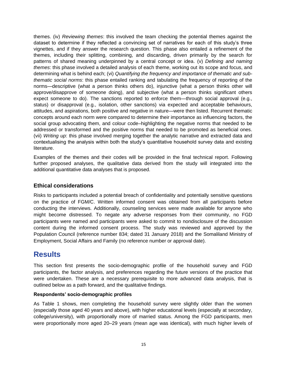themes. (iv) *Reviewing themes*: this involved the team checking the potential themes against the dataset to determine if they reflected a convincing set of narratives for each of this study's three vignettes, and if they answer the research question. This phase also entailed a refinement of the themes, including their splitting, combining, and discarding, driven primarily by the search for patterns of shared meaning underpinned by a central concept or idea. (v) *Defining and naming themes*: this phase involved a detailed analysis of each theme, working out its scope and focus, and determining what is behind each; (vi) *Quantifying the frequency and importance of thematic and subthematic social norms*: this phase entailed ranking and tabulating the frequency of reporting of the norms—descriptive (what a person thinks others do), injunctive (what a person thinks other will approve/disapprove of someone doing), and subjective (what a person thinks significant others expect someone to do). The sanctions reported to enforce them—through social approval (e.g., status) or disapproval (e.g., isolation, other sanctions) via expected and acceptable behaviours, attitudes, and aspirations, both positive and negative in nature—were then listed. Recurrent thematic concepts around each norm were compared to determine their importance as influencing factors, the social group advocating them, and colour code–highlighting the negative norms that needed to be addressed or transformed and the positive norms that needed to be promoted as beneficial ones. (vii) *Writing up*: this phase involved merging together the analytic narrative and extracted data and contextualising the analysis within both the study's quantitative household survey data and existing literature.

Examples of the themes and their codes will be provided in the final technical report. Following further proposed analyses, the qualitative data derived from the study will integrated into the additional quantitative data analyses that is proposed.

#### <span id="page-21-0"></span>**Ethical considerations**

Risks to participants included a potential breach of confidentiality and potentially sensitive questions on the practice of FGM/C. Written informed consent was obtained from all participants before conducting the interviews. Additionally, counseling services were made available for anyone who might become distressed. To negate any adverse responses from their community, no FGD participants were named and participants were asked to commit to nondisclosure of the discussion content during the informed consent process. The study was reviewed and approved by the Population Council (reference number 834; dated 31 January 2018) and the Somaliland Ministry of Employment, Social Affairs and Family (no reference number or approval date).

# <span id="page-21-1"></span>**Results**

This section first presents the socio-demographic profile of the household survey and FGD participants, the factor analysis, and preferences regarding the future versions of the practice that were undertaken. These are a necessary prerequisite to more advanced data analysis, that is outlined below as a path forward, and the qualitative findings.

#### <span id="page-21-2"></span>**Respondents' socio-demographic profiles**

As Table 1 shows, men completing the household survey were slightly older than the women (especially those aged 40 years and above), with higher educational levels (especially at secondary, college/university), with proportionally more of married status. Among the FGD participants, men were proportionally more aged 20–29 years (mean age was identical), with much higher levels of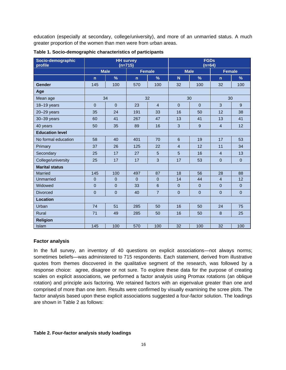education (especially at secondary, college/university), and more of an unmarried status. A much greater proportion of the women than men were from urban areas.

| Socio-demographic<br>profile | <b>HH</b> survey<br>$(n=715)$ |                  |               |                 | <b>FGDs</b><br>$(n=64)$ |                  |                |              |
|------------------------------|-------------------------------|------------------|---------------|-----------------|-------------------------|------------------|----------------|--------------|
|                              | <b>Male</b>                   |                  | <b>Female</b> |                 | <b>Male</b>             |                  | <b>Female</b>  |              |
|                              | $\overline{p}$                | $\frac{9}{6}$    | $\mathsf{n}$  | $\frac{9}{6}$   | N                       | $\%$             | $\overline{p}$ | $\%$         |
| Gender                       | 145                           | 100              | 570           | 100             | 32                      | 100              | 32             | 100          |
| Age                          |                               |                  |               |                 |                         |                  |                |              |
| Mean age                     |                               | 34               |               | 32              |                         | 30               | 30             |              |
| 18-19 years                  | $\Omega$                      | $\Omega$         | 23            | $\overline{4}$  | $\Omega$                | $\mathbf{0}$     | 3              | 9            |
| $20 - 29$ years              | 35                            | 24               | 191           | 33              | 16                      | 50               | 12             | 38           |
| 30-39 years                  | 60                            | 41               | 267           | 47              | 13                      | 41               | 13             | 41           |
| 40 years                     | 50                            | 35               | 89            | 16              | $\mathbf{3}$            | $\boldsymbol{9}$ | $\overline{4}$ | 12           |
| <b>Education level</b>       |                               |                  |               |                 |                         |                  |                |              |
| No formal education          | 58                            | 40               | 401           | 70              | 6                       | 19               | 17             | 53           |
| Primary                      | 37                            | 26               | 125           | 22              | $\overline{4}$          | 12               | 11             | 34           |
| Secondary                    | 25                            | 17               | 27            | 5               | $\overline{5}$          | 16               | $\overline{4}$ | 13           |
| College/university           | 25                            | 17               | 17            | 3               | 17                      | 53               | $\mathbf{0}$   | $\mathbf{0}$ |
| <b>Marital status</b>        |                               |                  |               |                 |                         |                  |                |              |
| Married                      | 145                           | 100              | 497           | 87              | 18                      | 56               | 28             | 88           |
| Unmarried                    | $\Omega$                      | $\Omega$         | $\Omega$      | $\Omega$        | 14                      | 44               | $\overline{4}$ | 12           |
| Widowed                      | $\overline{0}$                | $\mathbf 0$      | 33            | $6\phantom{1}6$ | $\mathbf 0$             | $\mathbf 0$      | $\overline{0}$ | $\pmb{0}$    |
| <b>Divorced</b>              | $\mathbf{0}$                  | $\boldsymbol{0}$ | 40            | $\overline{7}$  | $\overline{0}$          | $\mathbf 0$      | $\mathbf{0}$   | $\pmb{0}$    |
| <b>Location</b>              |                               |                  |               |                 |                         |                  |                |              |
| Urban                        | 74                            | 51               | 285           | 50              | 16                      | 50               | 24             | 75           |
| Rural                        | 71                            | 49               | 285           | 50              | 16                      | 50               | 8              | 25           |
| <b>Religion</b>              |                               |                  |               |                 |                         |                  |                |              |
| Islam                        | 145                           | 100              | 570           | 100             | 32                      | 100              | 32             | 100          |

| Table 1. Socio-demographic characteristics of participants |  |
|------------------------------------------------------------|--|
|                                                            |  |

#### <span id="page-22-0"></span>**Factor analysis**

In the full survey, an inventory of 40 questions on explicit associations—not always norms; sometimes beliefs—was administered to 715 respondents. Each statement, derived from illustrative quotes from themes discovered in the qualitative segment of the research, was followed by a response choice: agree, disagree or not sure. To explore these data for the purpose of creating scales on explicit associations, we performed a factor analysis using Promax rotations (an oblique rotation) and principle axis factoring. We retained factors with an eigenvalue greater than one and comprised of more than one item. Results were confirmed by visually examining the scree plots. The factor analysis based upon these explicit associations suggested a four-factor solution. The loadings are shown in Table 2 as follows:

#### **Table 2. Four-factor analysis study loadings**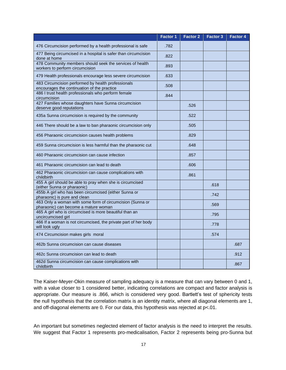|                                                                                                   | <b>Factor 1</b> | <b>Factor 2</b> | <b>Factor 3</b> | <b>Factor 4</b> |
|---------------------------------------------------------------------------------------------------|-----------------|-----------------|-----------------|-----------------|
| 476 Circumcision performed by a health professional is safe                                       | .782            |                 |                 |                 |
| 477 Being circumcised in a hospital is safer than circumcision<br>done at home                    | .822            |                 |                 |                 |
| 478 Community members should seek the services of health<br>workers to perform circumcision       | .893            |                 |                 |                 |
| 479 Health professionals encourage less severe circumcision                                       | .633            |                 |                 |                 |
| 483 Circumcision performed by health professionals<br>encourages the continuation of the practice | .508            |                 |                 |                 |
| 486 I trust health professionals who perform female<br>circumcision                               | .844            |                 |                 |                 |
| 427 Families whose daughters have Sunna circumcision<br>deserve good reputations                  |                 | .526            |                 |                 |
| 435a Sunna circumcision is required by the community                                              |                 | .522            |                 |                 |
| 446 There should be a law to ban pharaonic circumcision only                                      |                 | .505            |                 |                 |
| 456 Pharaonic circumcision causes health problems                                                 |                 | .829            |                 |                 |
| 459 Sunna circumcision is less harmful than the pharaonic cut                                     |                 | .648            |                 |                 |
| 460 Pharaonic circumcision can cause infection                                                    |                 | .857            |                 |                 |
| 461 Pharaonic circumcision can lead to death                                                      |                 | .606            |                 |                 |
| 462 Pharaonic circumcision can cause complications with<br>childbirth                             |                 | .861            |                 |                 |
| 455 A girl should be able to pray when she is circumcised<br>(either Sunna or pharaonic)          |                 |                 | .618            |                 |
| 455b A girl who has been circumcised (either Sunna or<br>pharaonic) is pure and clean             |                 |                 | .742            |                 |
| 463 Only a woman with some form of circumcision (Sunna or<br>pharaonic) can become a mature woman |                 |                 | .569            |                 |
| 465 A girl who is circumcised is more beautiful than an<br>uncircumcised girl                     |                 |                 | .795            |                 |
| 466 If a woman is not circumcised, the private part of her body<br>will look ugly                 |                 |                 | .778            |                 |
| 474 Circumcision makes girls moral                                                                |                 |                 | .574            |                 |
| 462b Sunna circumcision can cause diseases                                                        |                 |                 |                 | .687            |
| 462c Sunna circumcision can lead to death                                                         |                 |                 |                 | .912            |
| 462d Sunna circumcision can cause complications with<br>childbirth                                |                 |                 |                 | .867            |

The Kaiser-Meyer-Okin measure of sampling adequacy is a measure that can vary between 0 and 1, with a value closer to 1 considered better, indicating correlations are compact and factor analysis is appropriate. Our measure is .866, which is considered very good. Bartlett's test of sphericity tests the null hypothesis that the correlation matrix is an identity matrix, where all diagonal elements are 1, and off-diagonal elements are 0. For our data, this hypothesis was rejected at p<.01.

An important but sometimes neglected element of factor analysis is the need to interpret the results. We suggest that Factor 1 represents pro-medicalisation, Factor 2 represents being pro-Sunna but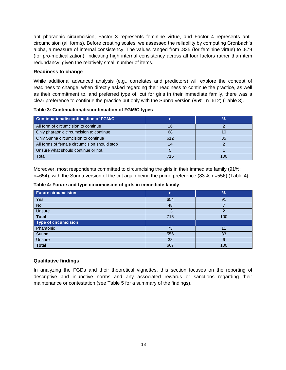anti-pharaonic circumcision, Factor 3 represents feminine virtue, and Factor 4 represents anticircumcision (all forms). Before creating scales, we assessed the reliability by computing Cronbach's alpha, a measure of internal consistency. The values ranged from .835 (for feminine virtue) to .879 (for pro-medicalization), indicating high internal consistency across all four factors rather than item redundancy, given the relatively small number of items.

#### <span id="page-24-0"></span>**Readiness to change**

While additional advanced analysis (e.g., correlates and predictors) will explore the concept of readiness to change, when directly asked regarding their readiness to continue the practice, as well as their commitment to, and preferred type of, cut for girls in their immediate family, there was a clear preference to continue the practice but only with the Sunna version (85%; n=612) (Table 3).

#### **Table 3: Continuation/discontinuation of FGM/C types**

| Continuation/discontinuation of FGM/C        |     | $\frac{9}{6}$ |
|----------------------------------------------|-----|---------------|
| All form of circumcision to continue         | 16  |               |
| Only pharaonic circumcision to continue      | 68  |               |
| Only Sunna circumcision to continue          | 612 | 85            |
| All forms of female circumcision should stop | 14  |               |
| Unsure what should continue or not.          |     |               |
| Total                                        | 715 | 100           |

Moreover, most respondents committed to circumcising the girls in their immediate family (91%; n=654), with the Sunna version of the cut again being the prime preference (83%; n=556) (Table 4):

| <b>Future circumcision</b>  | $\mathsf{n}$ | $\frac{9}{6}$ |
|-----------------------------|--------------|---------------|
| Yes                         | 654          | 91            |
| <b>No</b>                   | 48           |               |
| Unsure                      | 13           | ◠             |
| <b>Total</b>                | 715          | 100           |
| <b>Type of circumcision</b> |              |               |
| Pharaonic                   | 73           | 11            |
| Sunna                       | 556          | 83            |
| Unsure                      | 38           | 6             |
| <b>Total</b>                | 667          | 100           |

#### <span id="page-24-1"></span>**Qualitative findings**

In analyzing the FGDs and their theoretical vignettes, this section focuses on the reporting of descriptive and injunctive norms and any associated rewards or sanctions regarding their maintenance or contestation (see Table 5 for a summary of the findings).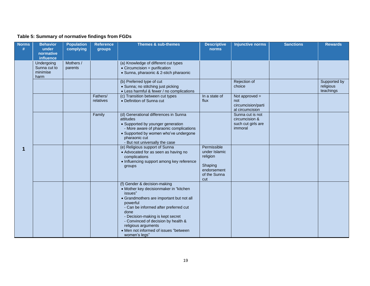#### **Table 5: Summary of normative findings from FGDs**

| <b>Norms</b><br># | <b>Behavior</b><br>under<br>normative<br><b>influence</b> | <b>Population</b><br>complying | <b>Reference</b><br>groups | <b>Themes &amp; sub-themes</b>                                                                                                                                                                                                                                                                                                                         | <b>Descriptive</b><br>norms                                                               | <b>Injunctive norms</b>                                             | <b>Sanctions</b> | <b>Rewards</b>                         |
|-------------------|-----------------------------------------------------------|--------------------------------|----------------------------|--------------------------------------------------------------------------------------------------------------------------------------------------------------------------------------------------------------------------------------------------------------------------------------------------------------------------------------------------------|-------------------------------------------------------------------------------------------|---------------------------------------------------------------------|------------------|----------------------------------------|
|                   | Undergoing<br>Sunna cut to<br>minimise<br>harm            | Mothers /<br>parents           |                            | (a) Knowledge of different cut types<br>$\bullet$ Circumcision = purification<br>• Sunna, pharaonic & 2-stich pharaonic                                                                                                                                                                                                                                |                                                                                           |                                                                     |                  |                                        |
| 1                 |                                                           |                                |                            | (b) Preferred type of cut<br>· Sunna; no stitching just picking<br>• Less harmful & fewer / no complications                                                                                                                                                                                                                                           |                                                                                           | Rejection of<br>choice                                              |                  | Supported by<br>religious<br>teachings |
|                   |                                                           |                                | Fathers/<br>relatives      | (c) Transition between cut types<br>• Definition of Sunna cut                                                                                                                                                                                                                                                                                          | In a state of<br>flux                                                                     | Not approved $=$<br>not<br>circumcision/parti<br>al circumcision    |                  |                                        |
|                   |                                                           |                                | Family                     | (d) Generational differences in Sunna<br>attitudes<br>• Supported by younger generation<br>- More aware of pharaonic complications<br>• Supported by women who've undergone<br>pharaonic cut<br>- But not universally the case                                                                                                                         |                                                                                           | Sunna cut is not<br>circumcision &<br>such cut girls are<br>immoral |                  |                                        |
|                   |                                                           |                                |                            | (e) Religious support of Sunna<br>• Advocated for as seen as having no<br>complications<br>• Influencing support among key reference<br>groups                                                                                                                                                                                                         | Permissible<br>under Islamic<br>religion<br>Shaping<br>endorsement<br>of the Sunna<br>cut |                                                                     |                  |                                        |
|                   |                                                           |                                |                            | (f) Gender & decision-making<br>• Mother key decisionmaker in "kitchen<br>issues"<br>• Grandmothers are important but not all<br>powerful<br>- Can be informed after preferred cut<br>done<br>- Decision-making is kept secret<br>- Convinced of decision by health &<br>religious arguments<br>• Men not informed of issues "between<br>women's legs" |                                                                                           |                                                                     |                  |                                        |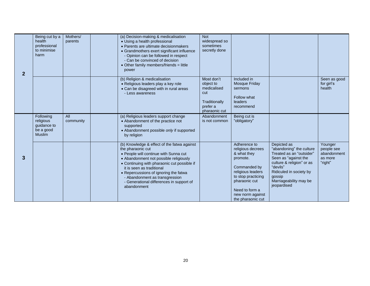| $\overline{2}$ | Being cut by a<br>health<br>professional<br>to minimise<br>harm     | Mothers/<br>parents | (a) Decision-making & medicalisation<br>• Using a health professional<br>• Parents are ultimate decisionmakers<br>• Grandmothers exert significant influence<br>- Opinion can be followed in respect<br>- Can be convinced of decision<br>• Other family members/friends = little<br>power                                                                            | <b>Not</b><br>widespread so<br>sometimes<br>secretly done                                   |                                                                                                                                                                                                     |                                                                                                                                                                                                                    |                                                            |
|----------------|---------------------------------------------------------------------|---------------------|-----------------------------------------------------------------------------------------------------------------------------------------------------------------------------------------------------------------------------------------------------------------------------------------------------------------------------------------------------------------------|---------------------------------------------------------------------------------------------|-----------------------------------------------------------------------------------------------------------------------------------------------------------------------------------------------------|--------------------------------------------------------------------------------------------------------------------------------------------------------------------------------------------------------------------|------------------------------------------------------------|
|                |                                                                     |                     | (b) Religion & medicalisation<br>• Religious leaders play a key role<br>• Can be disagreed with in rural areas<br>- Less awareness                                                                                                                                                                                                                                    | Most don't<br>object to<br>medicalised<br>cut<br>Traditionally<br>prefer a<br>pharaonic cut | Included in<br>Mosque Friday<br>sermons<br>Follow what<br>leaders<br>recommend                                                                                                                      |                                                                                                                                                                                                                    | Seen as good<br>for girl's<br>health                       |
|                | Following<br>religious<br>guidance to<br>be a good<br><b>Muslim</b> | All<br>community    | (a) Religious leaders support change<br>• Abandonment of the practice not<br>supported<br>• Abandonment possible only if supported<br>by religion                                                                                                                                                                                                                     | Abandonment<br>is not common                                                                | Being cut is<br>"obligatory"                                                                                                                                                                        |                                                                                                                                                                                                                    |                                                            |
| 3              |                                                                     |                     | (b) Knowledge & effect of the fatwa against<br>the pharaonic cut<br>• People will continue with Sunna cut<br>• Abandonment not possible religiously<br>• Continuing with pharaonic cut possible if<br>it is seen as traditional<br>• Repercussions of ignoring the fatwa<br>- Abandonment as transgression<br>- Generational differences in support of<br>abandonment |                                                                                             | Adherence to<br>religious decrees<br>& what they<br>promote.<br>Commanded by<br>religious leaders<br>to stop practicing<br>pharaonic cut<br>Need to form a<br>new norm against<br>the pharaonic cut | Depicted as<br>"abandoning" the culture<br>Treated as an "outsider"<br>Seen as "against the<br>culture & religion" or as<br>"devils"<br>Ridiculed in society by<br>gossip<br>Marriageability may be<br>jeopardised | Younger<br>people see<br>abandonment<br>as more<br>"right" |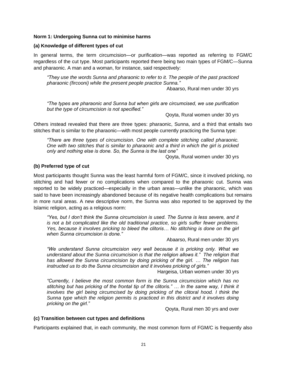#### <span id="page-27-0"></span>**Norm 1: Undergoing Sunna cut to minimise harms**

#### <span id="page-27-1"></span>**(a) Knowledge of different types of cut**

In general terms, the term circumcision—or purification—was reported as referring to FGM/C regardless of the cut type. Most participants reported there being two main types of FGM/C—Sunna and pharaonic. A man and a woman, for instance, said respectively:

*"They use the words Sunna and pharaonic to refer to it. The people of the past practiced pharaonic (fircooni) while the present people practice Sunna."* 

Abaarso, Rural men under 30 yrs

*"The types are pharaonic and Sunna but when girls are circumcised, we use purification but the type of circumcision is not specified."*

Qoyta, Rural women under 30 yrs

Others instead revealed that there are three types: pharaonic, Sunna, and a third that entails two stitches that is similar to the pharaonic—with most people currently practicing the Sunna type:

*"There are three types of circumcision. One with complete stitching called pharaonic. One with two stitches that is similar to pharaonic and a third in which the girl is pricked only and nothing else is done. So, the Sunna is the last one"* 

Qoyta, Rural women under 30 yrs

#### <span id="page-27-2"></span>**(b) Preferred type of cut**

Most participants thought Sunna was the least harmful form of FGM/C, since it involved pricking, no stitching and had fewer or no complications when compared to the pharaonic cut. Sunna was reported to be widely practiced—especially in the urban areas—unlike the pharaonic, which was said to have been increasingly abandoned because of its negative health complications but remains in more rural areas. A new descriptive norm, the Sunna was also reported to be approved by the Islamic religion, acting as a religious norm:

*"Yes, but I don't think the Sunna circumcision is used. The Sunna is less severe, and it is not a bit complicated like the old traditional practice, so girls suffer fewer problems. Yes, because it involves pricking to bleed the clitoris… No stitching is done on the girl when Sunna circumcision is done."* 

Abaarso, Rural men under 30 yrs

*"We understand Sunna circumcision very well because it is pricking only. What we understand about the Sunna circumcision is that the religion allows it." The religion that has allowed the Sunna circumcision by doing pricking of the girl. … The religion has instructed us to do the Sunna circumcision and it involves pricking of girls."* 

Hargeisa, Urban women under 30 yrs

*"Currently, I believe the most common form is the Sunna circumcision which has no stitching but has pricking of the frontal tip of the clitoris." … In the same way, I think it involves the girl being circumcised by doing pricking of the clitoral hood. I think the Sunna type which the religion permits is practiced in this district and it involves doing pricking on the girl."*

Qoyta, Rural men 30 yrs and over

#### <span id="page-27-3"></span>**(c) Transition between cut types and definitions**

Participants explained that, in each community, the most common form of FGM/C is frequently also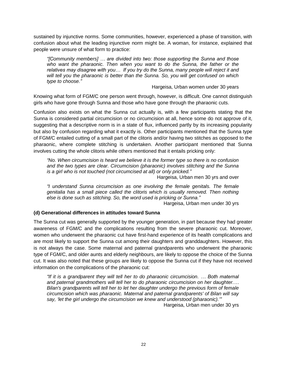sustained by injunctive norms. Some communities, however, experienced a phase of transition, with confusion about what the leading injunctive norm might be. A woman, for instance, explained that people were unsure of what form to practice:

*"[Community members] … are divided into two: those supporting the Sunna and those who want the pharaonic. Then when you want to do the Sunna, the father or the relatives may disagree with you… If you try do the Sunna, many people will reject it and will tell you the pharaonic is better than the Sunna. So, you will get confused on which type to choose."* 

Hargeisa, Urban women under 30 years

Knowing what form of FGM/C one person went through, however, is difficult. One cannot distinguish girls who have gone through Sunna and those who have gone through the pharaonic cuts.

Confusion also exists on what the Sunna cut actually is, with a few participants stating that the Sunna is considered partial circumcision or no circumcision at all, hence some do not approve of it, suggesting that a descriptive norm is in a state of flux, influenced partly by its increasing popularity but also by confusion regarding what it exactly is. Other participants mentioned that the Sunna type of FGM/C entailed cutting of a small part of the clitoris and/or having two stitches as opposed to the pharaonic, where complete stitching is undertaken. Another participant mentioned that Sunna involves cutting the whole clitoris while others mentioned that it entails pricking only:

*"No. When circumcision is heard we believe it is the former type so there is no confusion and the two types are clear. Circumcision (pharaonic) involves stitching and the Sunna is a girl who is not touched (not circumcised at all) or only pricked."* 

Hargeisa, Urban men 30 yrs and over

*"I understand Sunna circumcision as one involving the female genitals. The female genitalia has a small piece called the clitoris which is usually removed. Then nothing else is done such as stitching. So, the word used is pricking or Sunna."* 

Hargeisa, Urban men under 30 yrs

#### <span id="page-28-0"></span>**(d) Generational differences in attitudes toward Sunna**

The Sunna cut was generally supported by the younger generation, in part because they had greater awareness of FGM/C and the complications resulting from the severe pharaonic cut. Moreover, women who underwent the pharaonic cut have first-hand experience of its health complications and are most likely to support the Sunna cut among their daughters and granddaughters. However, this is not always the case. Some maternal and paternal grandparents who underwent the pharaonic type of FGM/C, and older aunts and elderly neighbours, are likely to oppose the choice of the Sunna cut. It was also noted that these groups are likely to oppose the Sunna cut if they have not received information on the complications of the pharaonic cut:

*"If it is a grandparent they will tell her to do pharaonic circumcision. … Both maternal and paternal grandmothers will tell her to do pharaonic circumcision on her daughter.… Bilan's grandparents will tell her to let her daughter undergo the previous form of female circumcision which was pharaonic. Maternal and paternal grandparents' of Bilan will say say, 'let the girl undergo the circumcision we knew and understood (pharaonic).'"* Hargeisa, Urban men under 30 yrs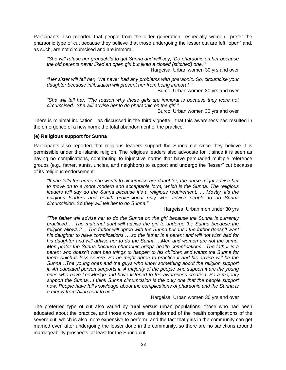Participants also reported that people from the older generation—especially women—prefer the pharaonic type of cut because they believe that those undergoing the lesser cut are left "open" and, as such, are not circumcised and are immoral.

*"She will refuse her grandchild to get Sunna and will say, 'Do pharaonic on her because the old parents never liked an open girl but liked a closed (stitched) one.'"* Hargeisa, Urban women 30 yrs and over

*"Her sister will tell her, 'We never had any problems with pharaonic. So, circumcise your daughter because infibulation will prevent her from being immoral.'"*

Burco, Urban women 30 yrs and over

*"She will tell her, 'The reason why these girls are immoral is because they were not circumcised.' She will advise her to do pharaonic on the girl."*

Burco, Urban women 30 yrs and over

There is minimal indication—as discussed in the third vignette—that this awareness has resulted in the emergence of a new norm: the total abandonment of the practice.

#### <span id="page-29-0"></span>**(e) Religious support for Sunna**

Participants also reported that religious leaders support the Sunna cut since they believe it is permissible under the Islamic religion. The religious leaders also advocate for it since it is seen as having no complications, contributing to injunctive norms that have persuaded multiple reference groups (e.g., father, aunts, uncles, and neighbors) to support and undergo the "lesser" cut because of its religious endorsement.

*"If she tells the nurse she wants to circumcise her daughter, the nurse might advise her to move on to a more modern and acceptable form, which is the Sunna. The religious leaders will say do the Sunna because it's a religious requirement. … Mostly, it's the religious leaders and health professional only who advice people to do Sunna circumcision. So they will tell her to do Sunna."* 

Hargeisa, Urban men under 30 yrs

*"The father will advise her to do the Sunna on the girl because the Sunna is currently practiced…. The maternal aunt will advise the girl to undergo the Sunna because the religion allows it.…The father will agree with the Sunna because the father doesn't want his daughter to have complications … so the father is a parent and will not wish bad for his daughter and will advise her to do the Sunna.…Men and women are not the same. Men prefer the Sunna because pharaonic brings health complications…The father is a parent who doesn't want bad things to happen to his children and wants the Sunna for them which is less severe. So he might agree to practice it and his advice will be the Sunna…The young ones and the guys who know something about the religion support it. An educated person supports it. A majority of the people who support it are the young ones who have knowledge and have listened to the awareness creation. So a majority support the Sunna…I think Sunna circumcision is the only one that the people support now. People have full knowledge about the complications of pharaonic and the Sunna is a mercy from Allah sent to us."* 

Hargeisa, Urban women 30 yrs and over

The preferred type of cut also varied by rural versus urban populations; those who had been educated about the practice, and those who were less informed of the health complications of the severe cut, which is also more expensive to perform, and the fact that girls in the community can get married even after undergoing the lesser done in the community, so there are no sanctions around marriageability prospects, at least for the Sunna cut.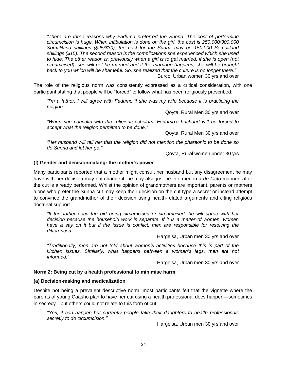*"There are three reasons why Faduma preferred the Sunna. The cost of performing circumcision is huge. When infibulation is done on the girl, the cost is 250,000/300,000 Somaliland shillings (\$25/\$30), the cost for the Sunna may be 150,000 Somaliland shillings (\$15). The second reason is the complications she experienced which she used to hide. The other reason is, previously when a girl is to get married, if she is open (not circumcised), she will not be married and if the marriage happens, she will be brought back to you which will be shameful. So, she realized that the culture is no longer there."* Burco, Urban women 30 yrs and over

The role of the religious norm was consistently expressed as a critical consideration, with one participant stating that people will be "forced" to follow what has been religiously prescribed:

*"I'm a father. I will agree with Fadumo if she was my wife because it is practicing the religion."* 

Qoyta, Rural Men 30 yrs and over

*"When she consults with the religious scholars, Fadumo's husband will be forced to accept what the religion permitted to be done."* 

Qoyta, Rural Men 30 yrs and over

*"Her husband will tell her that the religion did not mention the pharaonic to be done so do Sunna and let her go."* 

Qoyta, Rural women under 30 yrs

#### <span id="page-30-0"></span>**(f) Gender and decisionmaking: the mother's power**

Many participants reported that a mother might consult her husband but any disagreement he may have with her decision may not change it; he may also just be informed in a *de facto* manner, after the cut is already performed. Whilst the opinion of grandmothers are important, parents or mothers alone who prefer the Sunna cut may keep their decision on the cut type a secret or instead attempt to convince the grandmother of their decision using health-related arguments and citing religious doctrinal support.

*"If the father sees the girl being circumcised or circumcised, he will agree with her decision because the household work is separate. If it is a matter of women, women*  have a say on it but if the issue is conflict, men are responsible for resolving the *differences."*

Hargeisa, Urban men 30 yrs and over

*"Traditionally, men are not told about women's activities because this is part of the kitchen issues. Similarly, what happens between a woman's legs, men are not informed."*

Hargeisa, Urban men 30 yrs and over

#### <span id="page-30-1"></span>**Norm 2: Being cut by a health professional to minimise harm**

#### <span id="page-30-2"></span>**(a) Decision-making and medicalization**

Despite not being a prevalent descriptive norm, most participants felt that the vignette where the parents of young Caasho plan to have her cut using a health professional does happen—sometimes in secrecy—but others could not relate to this form of cut:

*"Yes, it can happen but currently people take their daughters to health professionals secretly to do circumcision."*

Hargeisa, Urban men 30 yrs and over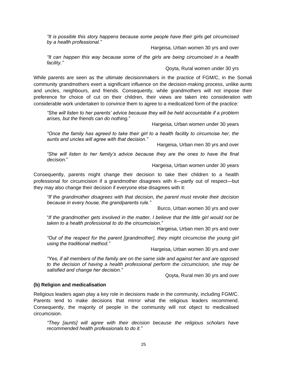*"It is possible this story happens because some people have their girls get circumcised by a health professional."*

Hargeisa, Urban women 30 yrs and over

*"It can happen this way because some of the girls are being circumcised in a health facility."* 

Qoyta, Rural women under 30 yrs

While parents are seen as the ultimate decisionmakers in the practice of FGM/C, in the Somali community grandmothers exert a significant influence on the decision-making process, unlike aunts and uncles, neighbours, and friends. Consequently, while grandmothers will not impose their preference for choice of cut on their children, their views are taken into consideration with considerable work undertaken to convince them to agree to a medicalized form of the practice:

*"She will listen to her parents' advice because they will be held accountable if a problem arises, but the friends can do nothing.*"

Hargeisa, Urban women under 30 years

*"Once the family has agreed to take their girl to a health facility to circumcise her, the aunts and uncles will agree with that decision."* 

Hargeisa, Urban men 30 yrs and over

*"She will listen to her family's advice because they are the ones to have the final decision.*"

Hargeisa, Urban women under 30 years

Consequently, parents might change their decision to take their children to a health professional for circumcision if a grandmother disagrees with it—partly out of respect—but they may also change their decision if everyone else disagrees with it:

*"If the grandmother disagrees with that decision, the parent must revoke their decision because in every house, the grandparents rule."* 

Burco, Urban women 30 yrs and over

"*If the grandmother gets involved in the matter, I believe that the little girl would not be taken to a health professional to do the circumcision."* 

Hargeisa, Urban men 30 yrs and over

*"Out of the respect for the parent [grandmother], they might circumcise the young girl using the traditional method."* 

Hargeisa, Urban women 30 yrs and over

*"Yes, if all members of the family are on the same side and against her and are opposed to the decision of having a health professional perform the circumcision, she may be satisfied and change her decision."*

Qoyta, Rural men 30 yrs and over

#### <span id="page-31-0"></span>**(b) Religion and medicalisation**

Religious leaders again play a key role in decisions made in the community, including FGM/C. Parents tend to make decisions that mirror what the religious leaders recommend. Consequently, the majority of people in the community will not object to medicalised circumcision.

*"They [aunts] will agree with their decision because the religious scholars have recommended health professionals to do it."*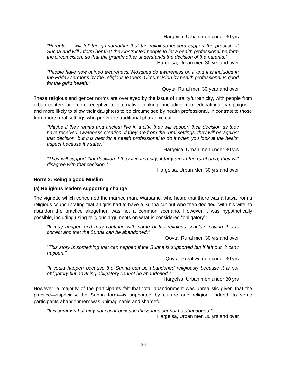Hargeisa, Urban men under 30 yrs

*"Parents … will tell the grandmother that the religious leaders support the practice of Sunna and will inform her that they instructed people to let a health professional perform the circumcision, so that the grandmother understands the decision of the parents."* Hargeisa, Urban men 30 yrs and over

*"People have now gained awareness. Mosques do awareness on it and it is included in the Friday sermons by the religious leaders. Circumcision by health professional is good for the girl's health."*

Qoyta, Rural men 30 year and over

These religious and gender norms are overlayed by the issue of rurality/urbanicity, with people from urban centers are more receptive to alternative thinking—including from educational campaigns and more likely to allow their daughters to be circumcised by health professional, in contrast to those from more rural settings who prefer the traditional pharaonic cut:

*"Maybe if they (aunts and uncles) live in a city, they will support their decision as they have received awareness creation. If they are from the rural settings, they will be against that decision, but it is best for a health professional to do it when you look at the health aspect because it's safer."*

Hargeisa, Urban men under 30 yrs

*"They will support that decision if they live in a city, if they are in the rural area, they will disagree with that decision."*

Hargeisa, Urban Men 30 yrs and over

#### <span id="page-32-0"></span>**Norm 3: Being a good Muslim**

#### <span id="page-32-1"></span>**(a) Religious leaders supporting change**

The vignette which concerned the married man, Warsame, who heard that there was a fatwa from a religious council stating that all girls had to have a Sunna cut but who then decided, with his wife, to abandon the practice altogether, was not a common scenario. However it was hypothetically possible, including using religious arguments on what is considered "obligatory":

*"It may happen and may continue with some of the religious scholars saying this is correct and that the Sunna can be abandoned."* 

Qoyta, Rural men 30 yrs and over

"*This story is something that can happen if the Sunna is supported but if left out, it can't happen."* 

Qoyta, Rural women under 30 yrs

*"It could happen because the Sunna can be abandoned religiously because it is not obligatory but anything obligatory cannot be abandoned."* 

Hargeisa, Urban men under 30 yrs

However, a majority of the participants felt that total abandonment was unrealistic given that the practice—especially the Sunna form—is supported by culture and religion. Indeed, to some participants abandonment was unimaginable and shameful:

*"It is common but may not occur because the Sunna cannot be abandoned."*  Hargeisa, Urban men 30 yrs and over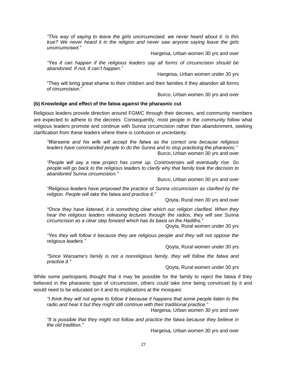*"This way of saying to leave the girls uncircumcised, we never heard about it. Is this true? We never heard it in the religion and never saw anyone saying leave the girls uncircumcised."*

Hargeisa, Urban women 30 yrs and over

*"Yes it can happen if the religious leaders say all forms of circumcision should be abandoned. If not, it can't happen."*

Hargeisa, Urban women under 30 yrs

"They will bring great shame to their children and their families if they abandon all forms of circumcision."

Burco, Urban women 30 yrs and over

#### <span id="page-33-0"></span>**(b) Knowledge and effect of the fatwa against the pharaonic cut**

Religious leaders provide direction around FGM/C through their decrees, and community members are expected to adhere to the decrees. Consequently, most people in the community follow what religious leaders promote and continue with Sunna circumcision rather than abandonment, seeking clarification from these leaders where there is confusion or uncertainty:

*"Warsame and his wife will accept the fatwa as the correct one because religious leaders have commanded people to do the Sunna and to stop practicing the pharaonic."*  Burco, Urban women 30 yrs and over

*"People will say a new project has come up. Controversies will eventually rise. So people will go back to the religious leaders to clarify why that family took the decision to abandoned Sunna circumcision."*

Burco, Urban women 30 yrs and over

*"Religious leaders have proposed the practice of Sunna circumcision as clarified by the religion. People will take the fatwa and practice it."*

Qoyta, Rural men 30 yrs and over

*"Once they have listened, it is something clear which our religion clarified. When they hear the religious leaders releasing lectures through the radios, they will see Sunna circumcision as a clear step forward which has its basis on the Hadiths."*

Qoyta, Rural women under 30 yrs

*"Yes they will follow it because they are religious people and they will not oppose the religious leaders."*

Qoyta, Rural women under 30 yrs

*"Since Warsame's family is not a nonreligious family, they will follow the fatwa and practice it."* 

Qoyta, Rural women under 30 yrs

While some participants thought that it may be possible for the family to reject the fatwa if they believed in the pharaonic type of circumcision, others could take time being convinced by it and would need to be educated on it and its implications at the mosques:

*"I think they will not agree to follow it because it happens that some people listen to the radio and hear it but they might still continue with their traditional practice."* 

Hargeisa, Urban women 30 yrs and over

*"It is possible that they might not follow and practice the fatwa because they believe in the old tradition."* 

Hargeisa, Urban women 30 yrs and over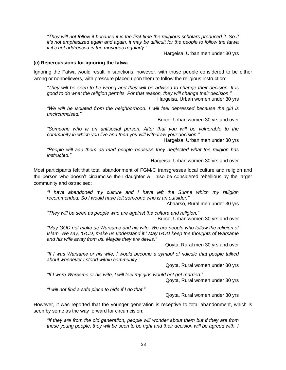*"They will not follow it because it is the first time the religious scholars produced it. So if it's not emphasized again and again, it may be difficult for the people to follow the fatwa if it's not addressed in the mosques regularly."*

Hargeisa, Urban men under 30 yrs

#### <span id="page-34-0"></span>**(c) Repercussions for ignoring the fatwa**

Ignoring the Fatwa would result in sanctions, however, with those people considered to be either wrong or nonbelievers, with pressure placed upon them to follow the religious instruction:

*"They will be seen to be wrong and they will be advised to change their decision. It is good to do what the religion permits. For that reason, they will change their decision."*  Hargeisa, Urban women under 30 yrs

*"We will be isolated from the neighborhood. I will feel depressed because the girl is uncircumcised."* 

Burco, Urban women 30 yrs and over

*"Someone who is an antisocial person. After that you will be vulnerable to the community in which you live and then you will withdraw your decision."* 

Hargeisa, Urban men under 30 yrs

*"People will see them as mad people because they neglected what the religion has instructed."*

Hargeisa, Urban women 30 yrs and over

Most participants felt that total abandonment of FGM/C transgresses local culture and religion and the person who doesn't circumcise their daughter will also be considered rebellious by the larger community and ostracised:

*"I have abandoned my culture and I have left the Sunna which my religion recommended. So I would have felt someone who is an outsider."*

Abaarso, Rural men under 30 yrs

*"They will be seen as people who are against the culture and religion."* Burco, Urban women 30 yrs and over

"May GOD not make us Warsame and his wife. We are people who follow the religion of *Islam. We say, 'GOD, make us understand it.' May GOD keep the thoughts of Warsame and his wife away from us. Maybe they are devils."*

Qoyta, Rural men 30 yrs and over

*"If I was Warsame or his wife, I would become a symbol of ridicule that people talked about whenever I stood within community."*

Qoyta, Rural women under 30 yrs

*"If I were Warsame or his wife, I will feel my girls would not get married.*"

Qoyta, Rural women under 30 yrs

*"I will not find a safe place to hide if I do that."* 

Qoyta, Rural women under 30 yrs

However, it was reported that the younger generation is receptive to total abandonment, which is seen by some as the way forward for circumcision:

*"If they are from the old generation, people will wonder about them but if they are from these young people, they will be seen to be right and their decision will be agreed with. I*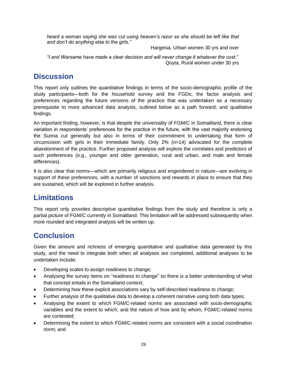*heard a woman saying she was cut using heaven's razor so she should be left like that and don't do anything else to the girls."* 

Hargeisa, Urban women 30 yrs and over

*"I and Warsame have made a clear decision and will never change it whatever the cost."* Qoyta, Rural women under 30 yrs

# <span id="page-35-0"></span>**Discussion**

This report only outlines the quantitative findings in terms of the socio-demographic profile of the study participants—both for the household survey and the FGDs; the factor analysis and preferences regarding the future versions of the practice that was undertaken as a necessary prerequisite to more advanced data analysis, outlined below as a path forward; and qualitative findings.

An important finding, however, is that despite the universality of FGM/C in Somaliland, there is clear variation in respondents' preferences for the practice in the future, with the vast majority endorsing the Sunna cut generally but also in terms of their commitment to undertaking that form of circumcision with girls in their immediate family. Only 2% (n=14) advocated for the complete abandonment of the practice. Further proposed analysis will explore the correlates and predictors of such preferences (e.g., younger and older generation, rural and urban, and male and female differences).

It is also clear that norms—which are primarily religious and engendered in nature—are evolving in support of these preferences, with a number of sanctions and rewards in place to ensure that they are sustained, which will be explored in further analysis.

# <span id="page-35-1"></span>**Limitations**

This report only provides descriptive quantitative findings from the study and therefore is only a partial picture of FGM/C currently in Somaliland. This limitation will be addressed subsequently when more rounded and integrated analysis will be written up.

# <span id="page-35-2"></span>**Conclusion**

Given the amount and richness of emerging quantitative and qualitative data generated by this study, and the need to integrate both when all analyses are completed, additional analyses to be undertaken include:

- Developing scales to assign readiness to change;
- Analysing the survey items on "readiness to change" so there is a better understanding of what that concept entails in the Somaliland context;
- Determining how these explicit associations vary by self-described readiness to change;
- Further analysis of the qualitative data to develop a coherent narrative using both data types;
- Analysing the extent to which FGM/C-related norms are associated with socio-demographic variables and the extent to which, and the nature of how and by whom, FGM/C-related norms are contested;
- Determining the extent to which FGM/C-related norms are consistent with a social coordination norm; and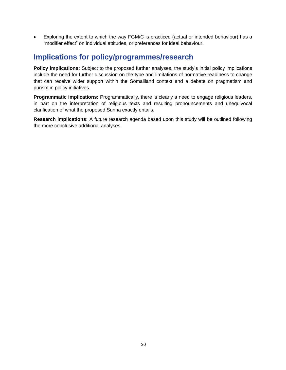• Exploring the extent to which the way FGM/C is practiced (actual or intended behaviour) has a "modifier effect" on individual attitudes, or preferences for ideal behaviour.

## <span id="page-36-0"></span>**Implications for policy/programmes/research**

<span id="page-36-1"></span>**Policy implications:** Subject to the proposed further analyses, the study's initial policy implications include the need for further discussion on the type and limitations of normative readiness to change that can receive wider support within the Somaliland context and a debate on pragmatism and purism in policy initiatives.

<span id="page-36-2"></span>**Programmatic implications:** Programmatically, there is clearly a need to engage religious leaders, in part on the interpretation of religious texts and resulting pronouncements and unequivocal clarification of what the proposed Sunna exactly entails.

<span id="page-36-3"></span>**Research implications:** A future research agenda based upon this study will be outlined following the more conclusive additional analyses.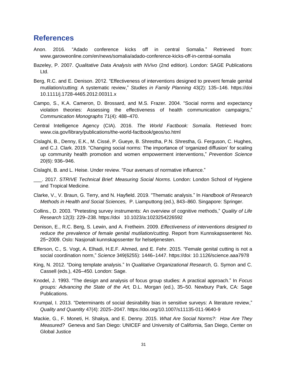### <span id="page-37-0"></span>**References**

- Anon. 2016. "Adado conference kicks off in central Somalia." Retrieved from: www.garoweonline.com/en/news/somalia/adado-conference-kicks-off-in-central-somalia
- Bazeley, P. 2007. *Qualitative Data Analysis with NVivo* (2nd edition). London: SAGE Publications Ltd.
- Berg, R.C. and E. Denison. 2012. "Effectiveness of interventions designed to prevent female genital mutilation/cutting: A systematic review," *Studies in Family Planning* 43(2): 135–146. https://doi 10.1111/j.1728-4465.2012.00311.x
- Campo, S., K.A. Cameron, D. Brossard, and M.S. Frazer. 2004. "Social norms and expectancy violation theories: Assessing the effectiveness of health communication campaigns," *Communication Monographs* 71(4): 488–470.
- Central Intelligence Agency (CIA). 2016. *The World Factbook: Somalia*. Retrieved from: www.cia.gov/library/publications/the-world-factbook/geos/so.html
- Cislaghi, B., Denny, E.K., M. Cissé, P. Gueye, B. Shrestha, P.N. Shrestha, G. Ferguson, C. Hughes, and C.J. Clark. 2019. "Changing social norms: The importance of 'organized diffusion' for scaling up community health promotion and women empowerment interventions," *Prevention Science* 20(6): 936–946.
- Cislaghi, B. and L. Heise. Under review. "Four avenues of normative influence."
- \_\_\_. 2017. *STRIVE Technical Brief: Measuring Social Norms*. London: London School of Hygiene and Tropical Medicine.
- Clarke, V., V. Braun, G. Terry, and N. Hayfield. 2019. "Thematic analysis." In *Handbook of Research Methods in Health and Social Sciences,* P. Liamputtong (ed.), 843–860. Singapore: Springer.
- Collins., D. 2003. "Pretesting survey instruments: An overview of cognitive methods," *Quality of Life Research* 12(3): 229–238. https://doi 10.1023/a:1023254226592
- Denison, E., R.C. Berg, S. Lewin, and A. Fretheim. 2009. *Effectiveness of interventions designed to reduce the prevalence of female genital mutilation/cutting*. Report from Kunnskapssenteret No. 25−2009. Oslo: Nasjonalt kunnskapssenter for helsetjenesten.
- Efferson, C., S. Vogt, A. Elhadi, H.E.F. Ahmed, and E. Fehr. 2015. "Female genital cutting is not a social coordination norm," *Science* 349(6255): 1446–1447. https://doi: 10.1126/science.aaa7978
- King, N. 2012. "Doing template analysis." In *Qualitative Organizational Research,* G. Symon and C. Cassell (eds.), 426–450. London: Sage.
- Knodel, J. 1993. "The design and analysis of focus group studies: A practical approach." In *Focus groups: Advancing the State of the Art,* D.L. Morgan (ed.), 35–50. Newbury Park, CA: Sage Publications.
- Krumpal, I. 2013. "Determinants of social desirability bias in sensitive surveys: A literature review," *Quality and Quantity* 47(4): 2025–2047. https://doi.org/10.1007/s11135-011-9640-9
- Mackie, G., F. Moneti, H. Shakya, and E. Denny. 2015. *What Are Social Norms?: How Are They Measured?* Geneva and San Diego: UNICEF and University of California, San Diego, Center on Global Justice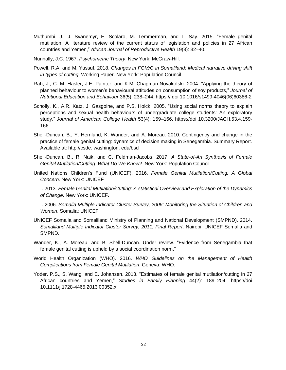- Muthumbi, J., J. Svanemyr, E. Scolaro, M. Temmerman, and L. Say. 2015. "Female genital mutilation: A literature review of the current status of legislation and policies in 27 African countries and Yemen," *African Journal of Reproductive Health* 19(3): 32–40.
- Nunnally, J.C. 1967. *Psychometric Theory*. New York: McGraw-Hill.
- Powell, R.A. and M. Yussuf. 2018. *Changes in FGM/C in Somaliland: Medical narrative driving shift in types of cutting*. Working Paper. New York: Population Council
- Rah, J., C. M. Hasler, J.E. Painter, and K.M. Chapman-Novakofski. 2004. "Applying the theory of planned behaviour to women's behavioural attitudes on consumption of soy products," *Journal of Nutritional Education and Behaviour* 36(5): 238–244. https:// doi 10.1016/s1499-4046(06)60386-2
- Scholly, K., A.R. Katz, J. Gasgoine, and P.S. Holck. 2005. "Using social norms theory to explain perceptions and sexual health behaviours of undergraduate college students: An exploratory study," *Journal of American College Health* 53(4): 159–166. https://doi 10.3200/JACH.53.4.159- 166
- Shell-Duncan, B., Y. Hernlund, K. Wander, and A. Moreau. 2010. Contingency and change in the practice of female genital cutting: dynamics of decision making in Senegambia. Summary Report. Available at: http://csde. washington. edu/bsd
- Shell-Duncan, B., R. Naik, and C. Feldman-Jacobs. 2017. *A State-of-Art Synthesis of Female Genital Mutilation/Cutting: What Do We Know?* New York: Population Council
- United Nations Children's Fund (UNICEF). 2016. *Female Genital Mutilation/Cutting: A Global Concern*. New York: UNICEF
- \_\_\_. 2013. *Female Genital Mutilation/Cutting: A statistical Overview and Exploration of the Dynamics of Change*. New York: UNICEF.
- \_\_\_. 2006. *Somalia Multiple Indicator Cluster Survey, 2006: Monitoring the Situation of Children and Women*. Somalia: UNICEF
- UNICEF Somalia and Somaliland Ministry of Planning and National Development (SMPND). 2014. *Somaliland Multiple Indicator Cluster Survey, 2011, Final Report*. Nairobi: UNICEF Somalia and SMPND.
- Wander, K., A. Moreau, and B. Shell-Duncan. Under review. "Evidence from Senegambia that female genital cutting is upheld by a social coordination norm."
- World Health Organization (WHO). 2016. *WHO Guidelines on the Management of Health Complications from Female Genital Mutilation*. Geneva: WHO.
- Yoder. P.S., S. Wang, and E. Johansen. 2013. "Estimates of female genital mutilation/cutting in 27 African countries and Yemen," *Studies in Family Planning* 44(2): 189–204. https://doi 10.1111/j.1728-4465.2013.00352.x.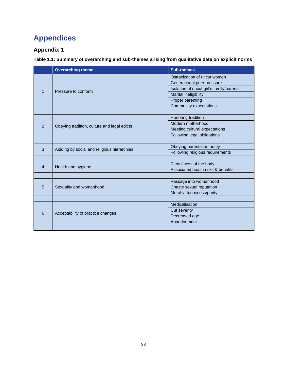# <span id="page-39-0"></span>**Appendices**

## <span id="page-39-1"></span>**Appendix 1**

**Table 1.1: Summary of overarching and sub-themes arising from qualitative data on explicit norms**

|                | <b>Overarching theme</b>                    | <b>Sub-themes</b>                        |  |  |  |  |
|----------------|---------------------------------------------|------------------------------------------|--|--|--|--|
|                |                                             | Ostracization of uncut women             |  |  |  |  |
|                |                                             | Generational peer pressure               |  |  |  |  |
| 1              | Pressure to conform                         | Isolation of uncut girl's family/parents |  |  |  |  |
|                |                                             | Marital ineligibility                    |  |  |  |  |
|                |                                             | Proper parenting                         |  |  |  |  |
|                |                                             | Community expectations                   |  |  |  |  |
|                |                                             |                                          |  |  |  |  |
|                |                                             | Honoring tradition                       |  |  |  |  |
| $\overline{2}$ | Obeying tradition, culture and legal edicts | Modern motherhood                        |  |  |  |  |
|                |                                             | Meeting cultural expectations            |  |  |  |  |
|                |                                             | Following legal obligations              |  |  |  |  |
|                |                                             |                                          |  |  |  |  |
| 3              | Abiding by social and religious hierarchies | Obeying parental authority               |  |  |  |  |
|                |                                             | Following religious requirements         |  |  |  |  |
|                |                                             |                                          |  |  |  |  |
| $\overline{4}$ | Health and hygiene                          | Cleanliness of the body                  |  |  |  |  |
|                |                                             | Associated health risks & benefits       |  |  |  |  |
|                |                                             |                                          |  |  |  |  |
|                |                                             | Passage into womanhood                   |  |  |  |  |
| 5              | Sexuality and womanhood                     | Chaste sexual reputation                 |  |  |  |  |
|                |                                             | Moral virtuousness/purity                |  |  |  |  |
|                |                                             |                                          |  |  |  |  |
|                |                                             | Medicalisation                           |  |  |  |  |
| 6              | Acceptability of practice changes           | <b>Cut severity</b>                      |  |  |  |  |
|                |                                             | Decreased age                            |  |  |  |  |
|                |                                             | Abandonment                              |  |  |  |  |
|                |                                             |                                          |  |  |  |  |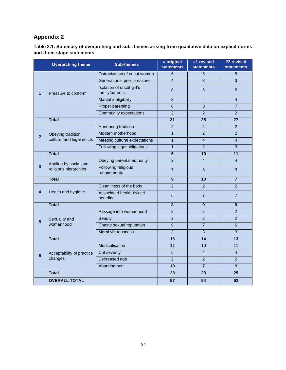### <span id="page-40-0"></span>**Appendix 2**

| Table 2.1: Summary of overarching and sub-themes arising from qualitative data on explicit norms |  |
|--------------------------------------------------------------------------------------------------|--|
| and three-stage statements                                                                       |  |

|                | <b>Overarching theme</b>   | <b>Sub-themes</b>                           | # original<br><b>statements</b> | #1 revised<br><b>statements</b> | #2 revised<br><b>statements</b> |  |
|----------------|----------------------------|---------------------------------------------|---------------------------------|---------------------------------|---------------------------------|--|
| 1              |                            | Ostracization of uncut women                | 6                               | 5                               | 5                               |  |
|                | Pressure to conform        | Generational peer pressure                  | $\overline{4}$                  | $\overline{3}$                  | $\overline{3}$                  |  |
|                |                            | Isolation of uncut girl's<br>family/parents | 8                               | 6                               | 6                               |  |
|                |                            | <b>Marital ineligibility</b>                | $\overline{3}$                  | $\overline{4}$                  | $\overline{4}$                  |  |
|                |                            | Proper parenting                            | $\overline{8}$                  | $\overline{8}$                  | $\overline{7}$                  |  |
|                |                            | Community expectations                      | $\overline{2}$                  | $\overline{2}$                  | $\overline{2}$                  |  |
|                | <b>Total</b>               |                                             | 31                              | 28                              | 27                              |  |
|                |                            | Honouring tradition                         | 2                               | $\overline{2}$                  | 2                               |  |
| $\overline{2}$ | Obeying tradition,         | Modern motherhood                           | $\overline{1}$                  | $\overline{2}$                  | $\overline{2}$                  |  |
|                | culture, and legal edicts  | Meeting cultural expectations               | $\mathbf{1}$                    | $\overline{4}$                  | $\overline{4}$                  |  |
|                |                            | Following legal obligations                 | $\overline{1}$                  | $\overline{2}$                  | $\overline{3}$                  |  |
|                | <b>Total</b>               |                                             | 5                               | 10                              | 11                              |  |
|                | Abiding by social and      | Obeying parental authority                  | $\overline{2}$                  | $\overline{\mathbf{4}}$         | $\overline{4}$                  |  |
| 3              | religious hierarchies      | Following religious<br>requirements         | $\overline{7}$                  | 6                               | 3                               |  |
|                | <b>Total</b>               |                                             | 9                               | $\overline{10}$                 | $\overline{7}$                  |  |
|                |                            | Cleanliness of the body                     | $\overline{2}$                  | 2                               | $\overline{2}$                  |  |
| 4              | Health and hygiene         | Associated health risks &<br>benefits       | 6                               | $\overline{7}$                  | $\overline{7}$                  |  |
|                | <b>Total</b>               |                                             | $\overline{\mathbf{8}}$         | $\overline{9}$                  | $\overline{9}$                  |  |
|                |                            | Passage into womanhood                      | $\overline{2}$                  | $\overline{2}$                  | $\overline{2}$                  |  |
| 5              | Sexuality and<br>womanhood | <b>Beauty</b>                               | $\overline{2}$                  | $\overline{2}$                  | $\overline{2}$                  |  |
|                |                            | Chaste sexual reputation                    | 9                               | $\overline{7}$                  | 6                               |  |
|                |                            | Moral virtuousness                          | 3                               | 3                               | 3                               |  |
|                | <b>Total</b>               |                                             | 16                              | $\overline{14}$                 | 13                              |  |
|                | Acceptability of practice  | Medicalisation                              | $\overline{11}$                 | 10                              | 11                              |  |
| 6              |                            | Cut severity                                | $\overline{5}$                  | $\overline{4}$                  | $\overline{4}$                  |  |
|                | changes                    | Decreased age                               | $\overline{2}$                  | $\overline{2}$                  | $\overline{2}$                  |  |
|                |                            | Abandonment                                 | 10                              | $\overline{7}$                  | 8                               |  |
|                | <b>Total</b>               |                                             | 28                              | 23                              | 25                              |  |
|                | <b>OVERALL TOTAL</b>       |                                             | 97                              | 94                              | 92                              |  |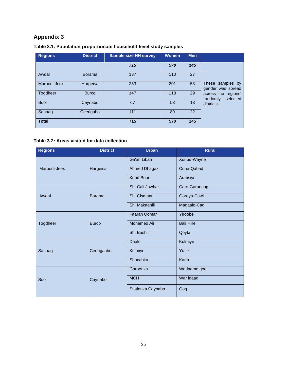# <span id="page-41-0"></span>**Appendix 3**

| <b>Regions</b> | <b>District</b> | <b>Sample size HH survey</b> | <b>Women</b> | <b>Men</b> |                                             |
|----------------|-----------------|------------------------------|--------------|------------|---------------------------------------------|
|                |                 | 715                          | 570          | 145        |                                             |
| Awdal          | <b>Borama</b>   | 137                          | 110          | 27         |                                             |
| Maroodi-Jeex   | Hargeisa        | 253                          | 201          | 53         | These samples by<br>gender was spread       |
| Togdheer       | <b>Burco</b>    | 147                          | 118          | 29         | across the regions'<br>selected<br>randomly |
| Sool           | Caynabo         | 67                           | 53           | 13         | districts                                   |
| Sanaag         | Ceerigabo       | 111                          | 89           | 22         |                                             |
| <b>Total</b>   |                 | 715                          | 570          | 145        |                                             |

#### **Table 3.1: Population-proportionate household-level study samples**

### **Table 3.2: Areas visited for data collection**

<span id="page-41-1"></span>

| <b>Regions</b> | <b>District</b> | <b>Urban</b>       | <b>Rural</b>      |  |  |  |  |
|----------------|-----------------|--------------------|-------------------|--|--|--|--|
|                |                 | Ga'an Libah        | Xunbo-Wayne       |  |  |  |  |
| Maroodi-Jeex   | Hargeisa        | Ahmed Dhagax       | Cuna-Qabad        |  |  |  |  |
|                |                 | <b>Kood Buur</b>   | Arabsiyo          |  |  |  |  |
|                |                 | Sh. Cali Jowhar    | Caro-Garanuug     |  |  |  |  |
| Awdal          | <b>Borama</b>   | Sh. Cismaan        | Goraya-Cawl       |  |  |  |  |
|                |                 | Sh. Makaahiil      | Magaalo-Cad       |  |  |  |  |
|                |                 | Faarah Oomar       | Yiroobe           |  |  |  |  |
| Togdheer       | <b>Burco</b>    | <b>Mohamed Ali</b> | <b>Bali Hille</b> |  |  |  |  |
|                |                 | Sh. Bashiir        | Qoyta             |  |  |  |  |
|                |                 | Daalo              | Kulmiye           |  |  |  |  |
| Sanaag         | Ceerigaabo      | Kulmiye            | Yufle             |  |  |  |  |
|                |                 | Shacabka           | Karin             |  |  |  |  |
|                |                 | Garoonka           | Wadaamo goo       |  |  |  |  |
| Sool           | Caynabo         | <b>MCH</b>         | War idaad         |  |  |  |  |
|                |                 | Stationka Caynabo  | Oog               |  |  |  |  |